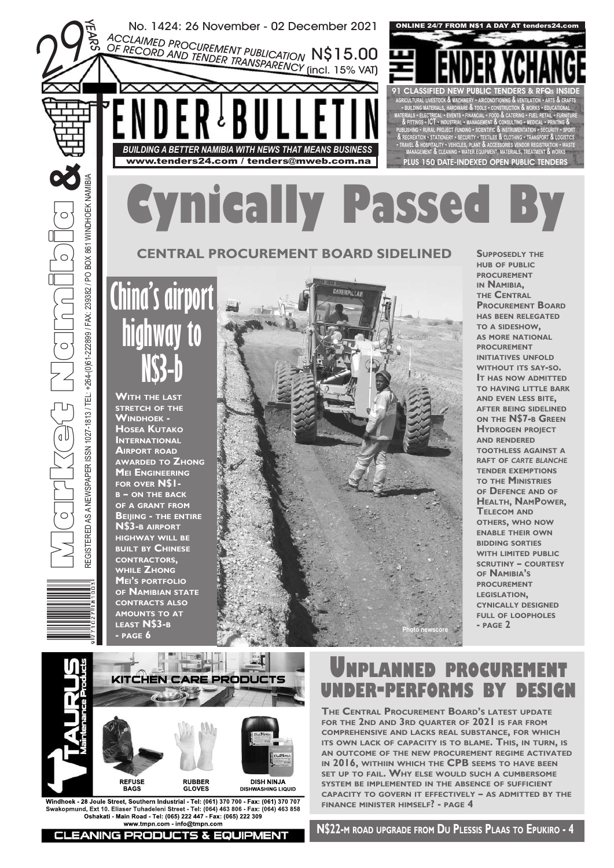

**COMPREHENSIVE AND LACKS REAL SUBSTANCE, FOR WHICH ITS OWN LACK OF CAPACITY IS TO BLAME. THIS, IN TURN, IS AN OUTCOME OF THE NEW PROCUREMENT REGIME ACTIVATED IN 2016, WITHIIN WHICH THE CPB SEEMS TO HAVE BEEN SET UP TO FAIL. WHY ELSE WOULD SUCH A CUMBERSOME SYSTEM BE IMPLEMENTED IN THE ABSENCE OF SUFFICIENT CAPACITY TO GOVERN IT EFFECTIVELY – AS ADMITTED BY THE FINANCE MINISTER HIMSELF? - PAGE 4**

**CLEANING PRODUCTS & EQUIPMENT** 

**DISH NINJA DISHWASHING LIQUID**

**Windhoek - 28 Joule Street, Southern Industrial - Tel: (061) 370 700 - Fax: (061) 370 707 Swakopmund, Ext 10. Eliaser Tuhadeleni Street - Tel: (064) 463 806 - Fax: (064) 463 858 Oshakati - Main Road - Tel: (065) 222 447 - Fax: (065) 222 309 www.tmpn.com - info@tmpn.com**

**RUBBER GLOVES**

**REFUSE BAGS**

 $\subset$ 

**N\$22-M ROAD UPGRADE FROM DU PLESSIS PLAAS TO EPUKIRO - 4**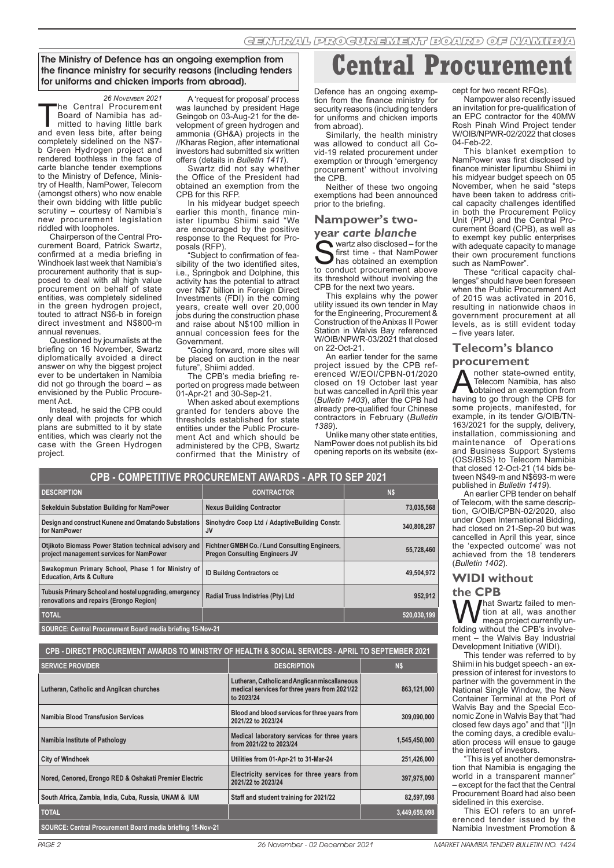The Ministry of Defence has an ongoing exemption from the finance ministry for security reasons (including tenders for uniforms and chicken imports from abroad).

<sup>26 Noveмвея 2021</sup><br>he Central Procurement The Central Procurement<br>Board of Namibia has ad-<br>mitted to having little bark<br>and even less bite after being Board of Namibia has adand even less bite, after being completely sidelined on the N\$7 b Green Hydrogen project and rendered toothless in the face of carte blanche tender exemptions to the Ministry of Defence, Ministry of Health, NamPower, Telecom (amongst others) who now enable their own bidding with little public scrutiny - courtesy of Namibia's new procurement legislation riddled with loopholes.

Chairperson of the Central Procurement Board, Patrick Swartz, confirmed at a media briefing in Windhoek last week that Namibia's procurement authority that is supposed to deal with all high value procurement on behalf of state entities, was completely sidelined in the green hydrogen project, touted to attract N\$6-b in foreign direct investment and N\$800-m annual revenues.

Questioned by journalists at the briefing on 16 November, Swartz diplomatically avoided a direct answer on why the biggest project ever to be undertaken in Namibia did not go through the board – as envisioned by the Public Procurement Act.

Instead, he said the CPB could only deal with projects for which plans are submitted to it by state entities, which was clearly not the case with the Green Hydrogen project.

**for NamPower**

**Design and construct Kunene and Omatando Substations** 

**Otjikoto Biomass Power Station technical advisory and project management services for NamPower**

A 'request for proposal' process was launched by president Hage Geingob on 03-Aug-21 for the development of green hydrogen and ammonia (GH&A) projects in the //Kharas Region, after international investors had submitted six written offers (details in *Bulletin 1411*).

Swartz did not say whether the Office of the President had obtained an exemption from the CPB for this RFP.

In his midyear budget speech earlier this month, finance minister Iipumbu Shiimi said "We are encouraged by the positive response to the Request for Proposals (RFP).

"Subject to confirmation of feasibility of the two identified sites, i.e., Springbok and Dolphine, this activity has the potential to attract over N\$7 billion in Foreign Direct Investments (FDI) in the coming years, create well over 20,000 jobs during the construction phase and raise about N\$100 million in annual concession fees for the Government.

"Going forward, more sites will be placed on auction in the near future", Shiimi added.

The CPB's media briefing reported on progress made between  $-$ Apr-21 and 30-Sep-21.

When asked about exemptions granted for tenders above the thresholds established for state entities under the Public Procurement Act and which should be administered by the CPB, Swartz confirmed that the Ministry of

**CPB - COMPETITIVE PROCUREMENT AWARDS - APR TO SEP 2021**

**Sekelduin Substation Building for NamPower Nexus Building Contractor 73,035,568**

Swakopmun Primary School, Phase 1 for Ministry of **inclusive Contractors cc** and a statement of the design of the design of the design of the design of the design of the design of the design of the design of the design of

**Fichtner GMBH Co. / Lund Consulting Engineers,** 

**DESCRIPTION CONTRACTOR N\$**

**Central Procurem** 

Defence has an ongoing exemption from the finance ministry for security reasons (including tenders for uniforms and chicken imports from abroad).

Similarly, the health ministry was allowed to conduct all Covid-19 related procurement under exemption or through 'emergency procurement' without involving the CPB.

Neither of these two ongoing exemptions had been announced prior to the briefing.

#### **Nampower's twoyear** *carte blanche*

 $\blacktriangleright$  wartz also disclosed – for the first time - that NamPower has obtained an exemption to conduct procurement above its threshold without involving the CPB for the next two years.

This explains why the power utility issued its own tender in May for the Engineering, Procurement & Construction of the Anixas II Power Station in Walvis Bay referenced W/OIB/NPWR-03/2021 that closed on 22-Oct-21.

An earlier tender for the same project issued by the CPB referenced W/EOI/CPBN-01/2020 closed on 19 October last year but was cancelled in April this year (*Bulletin 1403*), after the CPB had already pre-qualified four Chinese contractors in February (*Bulletin 1389*).

Unlike many other state entities, NamPower does not publish its bid opening reports on its website (ex-

cept for two recent RFQs).

Nampower also recently issued an invitation for pre-qualification of an EPC contractor for the 40MW Rosh Pinah Wind Project tender W/OIB/NPWR-02/2022 that closes 04-Feb-22.

This blanket exemption to NamPower was first disclosed by finance minister Iipumbu Shiimi in his midyear budget speech on 05 November, when he said "steps have been taken to address critical capacity challenges identified in both the Procurement Policy Unit (PPU) and the Central Procurement Board (CPB), as well as to exempt key public enterprises with adequate capacity to manage their own procurement functions such as NamPower".

These "critical capacity challenges" should have been foreseen when the Public Procurement Act of 2015 was activated in 2016, resulting in nationwide chaos in government procurement at all levels, as is still evident today – five years later.

#### **Telecom's blanco**

**procurement**<br> **A** nother state-owned entity, **A** nother state-owned entity,<br>Telecom Namibia, has also<br>bobtained an exemption from<br>having to go through the CPR for Telecom Namibia, has also having to go through the CPB for some projects, manifested, for example, in its tender G/OIB/TN-163/2021 for the supply, delivery, installation, commissioning and maintenance of Operations and Business Support Systems (OSS/BSS) to Telecom Namibia that closed 12-Oct-21 (14 bids between N\$49-m and N\$693-m were published in *Bulletin 1419*).

An earlier CPB tender on behalf of Telecom, with the same description, G/OIB/CPBN-02/2020, also under Open International Bidding, had closed on 21-Sep-20 but was cancelled in April this year, since the 'expected outcome' was not achieved from the 18 tenderers (*Bulletin 1402*).

#### **WIDI without**

**the CPB**<br>**LA** *I* hat Swartz failed to men-**What Swartz failed to men-**<br>mega project currently un-<br>folding without the CPB's involvetion at all, was another mega project currently unment – the Walvis Bay Industrial Development Initiative (WIDI).

This tender was referred to by Shiimi in his budget speech - an expression of interest for investors to partner with the government in the National Single Window, the New Container Terminal at the Port of Walvis Bay and the Special Economic Zone in Walvis Bay that "had closed few days ago" and that "[I]n the coming days, a credible evaluation process will ensue to gauge the interest of investors.

"This is yet another demonstration that Namibia is engaging the world in a transparent manner' – except for the fact that the Central Procurement Board had also been sidelined in this exercise.

This EOI refers to an unreferenced tender issued by the Namibia Investment Promotion &

| Tubusis Primary School and hostel upgrading, emergency<br>renovations and repairs (Erongo Region) | Radial Truss Indistries (Pty) Ltd | 952.912     |
|---------------------------------------------------------------------------------------------------|-----------------------------------|-------------|
| <b>TOTAL</b>                                                                                      |                                   | 520,030,199 |
| SOURCE: Central Procurement Board media briefing 15-Nov-21                                        |                                   |             |
|                                                                                                   |                                   |             |
| CPB - DIRECT PROCUREMENT AWARDS TO MINISTRY OF HEALTH & SOCIAL SERVICES - APRIL TO SEPTEMBER 2021 |                                   |             |

| <b>SERVICE PROVIDER</b>                                    | <b>DESCRIPTION</b>                                                                                           | <b>NS</b>     |
|------------------------------------------------------------|--------------------------------------------------------------------------------------------------------------|---------------|
| Lutheran, Catholic and Angilcan churches                   | Lutheran, Catholic and Anglican miscallaneous<br>medical services for three years from 2021/22<br>to 2023/24 | 863,121,000   |
| Namibia Blood Transfusion Services                         | Blood and blood services for three years from<br>2021/22 to 2023/24                                          | 309.090.000   |
| Namibia Institute of Pathology                             | Medical laboratory services for three years<br>from 2021/22 to 2023/24                                       | 1.545.450.000 |
| <b>City of Windhoek</b>                                    | Utilities from 01-Apr-21 to 31-Mar-24                                                                        | 251,426,000   |
| Nored, Cenored, Erongo RED & Oshakati Premier Electric     | Electricity services for three years from<br>2021/22 to 2023/24                                              | 397,975,000   |
| South Africa, Zambia, India, Cuba, Russia, UNAM & IUM      | Staff and student training for 2021/22                                                                       | 82.597.098    |
| <b>TOTAL</b>                                               |                                                                                                              | 3,449,659,098 |
| SOURCE: Central Procurement Board media briefing 15-Nov-21 |                                                                                                              |               |

**Sinohydro Coop Ltd / AdaptiveBuilding Constr. JV 340,808,287**

**Pregon Consulting Engineers JV 55,728,460**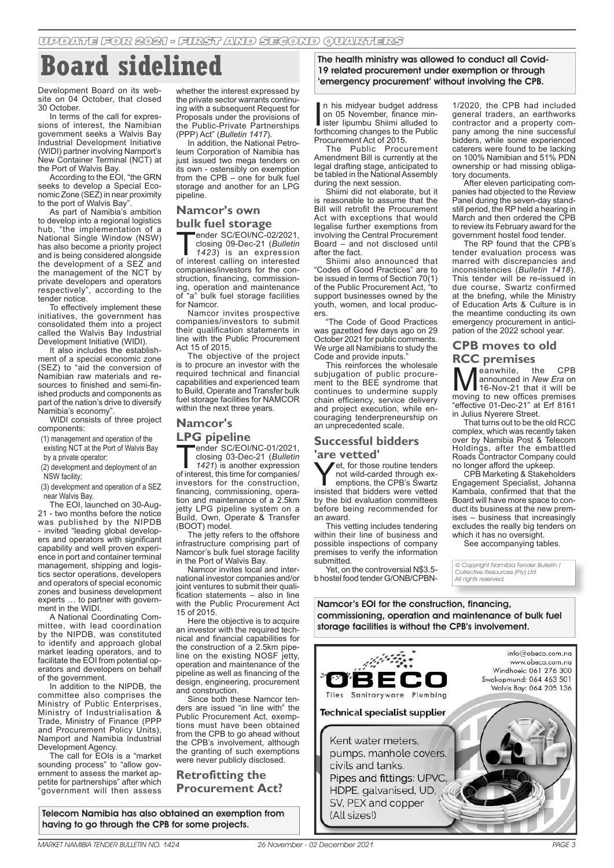# **Board sidelined**

Development Board on its website on 04 October, that closed 30 October.

In terms of the call for expressions of interest, the Namibian government seeks a Walvis Bay Industrial Development Initiative (WIDI) partner involving Namport's New Container Terminal (NCT) at the Port of Walvis Bay.

According to the EOI, "the GRN seeks to develop a Special Economic Zone (SEZ) in near proximity to the port of Walvis Bay'

As part of Namibia's ambition to develop into a regional logistics hub, "the implementation of a National Single Window (NSW) has also become a priority project and is being considered alongside the development of a SEZ and the management of the NCT by private developers and operators respectively", according to the tender notice.

To effectively implement these initiatives, the government has consolidated them into a project called the Walvis Bay Industrial Development Initiative (WIDI).

It also includes the establishment of a special economic zone (SEZ) to "aid the conversion of Namibian raw materials and resources to finished and semi-finished products and components as part of the nation's drive to diversify Namibia's economy".

WIDI consists of three project components:

(1) management and operation of the existing NCT at the Port of Walvis Bay

by a private operator;

(2) development and deployment of an

NSW facility;

(3) development and operation of a SEZ near Walvis Bay.

The EOI, launched on 30-Aug-21 - two months before the notice was published by the NIPDB - invited "leading global developers and operators with significant capability and well proven experience in port and container terminal management, shipping and logistics sector operations, developers and operators of special economic zones and business development experts … to partner with government in the WIDI.

A National Coordinating Committee, with lead coordination by the NIPDB, was constituted to identify and approach global market leading operators, and to facilitate the EOI from potential operators and developers on behalf of the government.

In addition to the NIPDB, the committee also comprises the Ministry of Public Enterprises, Ministry of Industrialisation & Trade, Ministry of Finance (PPP and Procurement Policy Units), Namport and Namibia Industrial Development Agency.

The call for EOIs is a "market sounding process" to "allow government to assess the market appetite for partnerships" after which "government will then assess

whether the interest expressed by the private sector warrants continuing with a subsequent Request for Proposals under the provisions of the Public-Private Partnerships (PPP) Act" (*Bulletin 1417*).

In addition, the National Petroleum Corporation of Namibia has just issued two mega tenders on its own - ostensibly on exemption from the CPB – one for bulk fuel storage and another for an LPG pipeline.

## **Namcor's own**

# **bulk fuel storage**<br>Trender SC/EOI/NC-02/2021.

ender SC/EOI/NC-02/2021,<br>closing 09-Dec-21 (*Bulletin*<br>1423) is an expression<br>of interest calling on interested closing 09-Dec-21 (*Bulletin* 

*1423*) is an expression of interest calling on interested companies/investors for the construction, financing, commissioning, operation and maintenance of "a" bulk fuel storage facilities for Namcor.

Namcor invites prospective companies/investors to submit their qualification statements in line with the Public Procurement Act 15 of 2015.

The objective of the project is to procure an investor with the required technical and financial capabilities and experienced team to Build, Operate and Transfer bulk fuel storage facilities for NAMCOR within the next three years.

#### **Namcor's**

LPG pipeline<br>Tender SC/EOI/NC-01/2021, ender SC/EOI/NC-01/2021,<br>closing 03-Dec-21 (*Bulletin*<br>1421) is another expression<br>of interest this time for companies/ closing 03-Dec-21 (*Bulletin 1421*) is another expression of interest, this time for companies/ investors for the construction, financing, commissioning, operation and maintenance of a 2.5km jetty LPG pipeline system on a Build, Own, Operate & Transfer

(BOOT) model. The jetty refers to the offshore infrastructure comprising part of Namcor's bulk fuel storage facility in the Port of Walvis Bay.

Namcor invites local and international investor companies and/or joint ventures to submit their qualification statements – also in line with the Public Procurement Act 15 of 2015.

Here the objective is to acquire an investor with the required technical and financial capabilities for the construction of a 2.5km pipeline on the existing NOSF jetty, operation and maintenance of the pipeline as well as financing of the design, engineering, procurement and construction.

Since both these Namcor tenders are issued "in line with" the Public Procurement Act, exemptions must have been obtained from the CPB to go ahead without the CPB's involvement, although the granting of such exemptions were never publicly disclosed.

**Retrofitting the Procurement Act?**

Telecom Namibia has also obtained an exemption from having to go through the CPB for some projects.

The health ministry was allowed to conduct all Covid-19 related procurement under exemption or through 'emergency procurement' without involving the CPB.

In his midyear budget address<br>
on 05 November, finance minister lipumbu Shiimi alluded to<br>
forthcoming changes to the Public n his midyear budget address on 05 November, finance minister Iipumbu Shiimi alluded to Procurement Act of 2015.

The Public Procurement Amendment Bill is currently at the legal drafting stage, anticipated to be tabled in the National Assembly during the next session.

Shiimi did not elaborate, but it is reasonable to assume that the Bill will retrofit the Procurement Act with exceptions that would legalise further exemptions from involving the Central Procurement Board – and not disclosed until after the fact.

Shiimi also announced that "Codes of Good Practices" are to be issued in terms of Section 70(1) of the Public Procurement Act, "to support businesses owned by the youth, women, and local producers.

..<br>"The Code of Good Practices was gazetted few days ago on 29 October 2021 for public comments. We urge all Namibians to study the Code and provide inputs."

This reinforces the wholesale subjugation of public procurement to the BEE syndrome that continues to undermine supply chain efficiency, service delivery and project execution, while encouraging tenderpreneurship on an unprecedented scale.

# **Successful bidders**

**are vetted'**<br>**Y** *J*et. for those routine tenders **Yet**, for those routine tenders<br>
not wild-carded through ex-<br>
emptions, the CPB's Swartz<br>
insisted that bidders were vetted not wild-carded through exinsisted that bidders were vetted by the bid evaluation committees before being recommended for an award.

This vetting includes tendering within their line of business and possible inspections of company premises to verify the information submitted.

Yet, on the controversial N\$3.5b hostel food tender G/ONB/CPBN- 1/2020, the CPB had included general traders, an earthworks contractor and a property company among the nine successful bidders, while some experienced caterers were found to be lacking on 100% Namibian and 51% PDN ownership or had missing obligatory documents.

After eleven participating companies had objected to the Review Panel during the seven-day standstill period, the RP held a hearing in March and then ordered the CPB to review its February award for the government hostel food tender.

The RP found that the CPB's tender evaluation process was marred with discrepancies and inconsistencies (*Bulletin 1418*). This tender will be re-issued in due course, Swartz confirmed at the briefing, while the Ministry of Education Arts & Culture is in the meantime conducting its own emergency procurement in anticipation of the 2022 school year.

## **CPB moves to old RCC premises**<br>**R** *A* eanwhile, the

**Meanwhile, the CPB**<br> **16-Nov-21** that it will be<br>
moving to new offices premises announced in *New Era* on moving to new offices premises "effective 01-Dec-21" at Erf 8161 in Julius Nyerere Street.

That turns out to be the old RCC complex, which was recently taken over by Namibia Post & Telecom Holdings, after the embattled Roads Contractor Company could no longer afford the upkeep.

CPB Marketing & Stakeholders Engagement Specialist, Johanna Kambala, confirmed that that the Board will have more space to conduct its business at the new premises – business that increasingly excludes the really big tenders on which it has no oversight.

See accompanying tables.

© Copyright Namibia Tender Bulletin / Collective Resources (Pty) Ltd. All rights reserved.

Namcor's EOI for the construction, financing, commissioning, operation and maintenance of bulk fuel storage facilities is without the CPB's involvement.

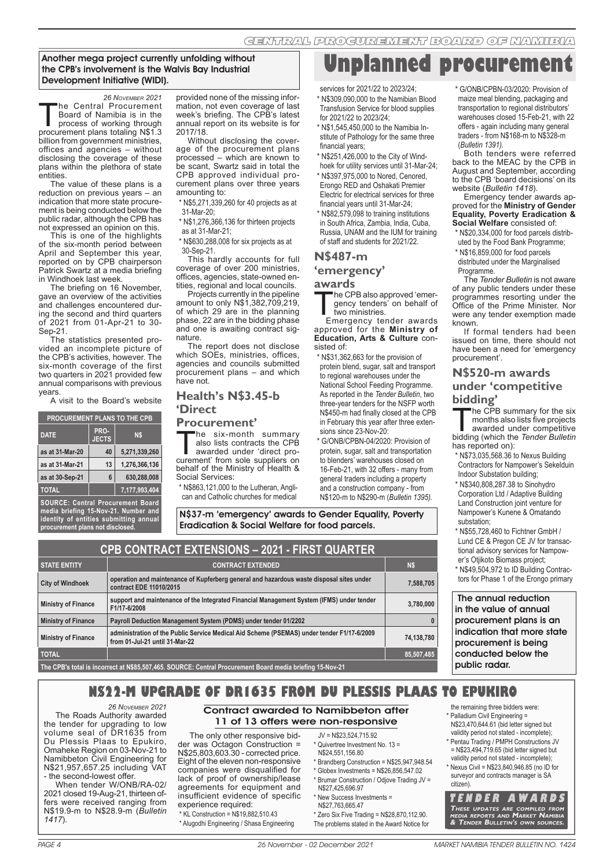**Unplanned procurement**

#### Another mega project currently unfolding without the CPB's involvement is the Walvis Bay Industrial Development Initiative (WIDI).

<sup>26 Noveмвек 2021</sup><br>Phe Central Procurement The Central Procurement<br>Board of Namibia is in the<br>process of working through<br>procurement plans totaling N\$1.3 Board of Namibia is in the procurement plans totaling N\$1.3 billion from government ministries, offices and agencies – without disclosing the coverage of these plans within the plethora of state entities.

The value of these plans is a reduction on previous years – an indication that more state procurement is being conducted below the public radar, although the CPB has not expressed an opinion on this.

This is one of the highlights of the six-month period between April and September this year, reported on by CPB chairperson Patrick Swartz at a media briefing in Windhoek last week.

The briefing on 16 November, gave an overview of the activities and challenges encountered during the second and third quarters of 2021 from 01-Apr-21 to 30- Sep-21.

The statistics presented provided an incomplete picture of the CPB's activities, however. The six-month coverage of the first two quarters in 2021 provided few annual comparisons with previous years.

A visit to the Board's website

| <b>PROCUREMENT PLANS TO THE CPB</b> |     |               |  |  |  |  |
|-------------------------------------|-----|---------------|--|--|--|--|
| <b>DATE</b>                         | N\$ |               |  |  |  |  |
| as at 31-Mar-20                     | 40  | 5,271,339,260 |  |  |  |  |
| as at 31-Mar-21                     | 13  | 1,276,366,136 |  |  |  |  |
| as at 30-Sep-21                     | 6   | 630,288,008   |  |  |  |  |
| <b>TOTAL</b>                        |     | 7,177,993,404 |  |  |  |  |
|                                     |     |               |  |  |  |  |

**SOURCE: Central Procurement Board media briefing 15-Nov-21. Number and identity of entities submitting annual procurement plans not disclosed.**

provided none of the missing information, not even coverage of last week's briefing. The CPB's latest annual report on its website is for 2017/18.

Without disclosing the coverage of the procurement plans processed – which are known to be scant, Swartz said in total the CPB approved individual procurement plans over three years amounting to:

\* N\$5,271,339,260 for 40 projects as at 31-Mar-20;

\* N\$1,276,366,136 for thirteen projects as at 31-Mar-21;

\* N\$630,288,008 for six projects as at 30-Sep-21.

This hardly accounts for full coverage of over 200 ministries, offices, agencies, state-owned entities, regional and local councils.

Projects currently in the pipeline amount to only N\$1,382,709,219, of which 29 are in the planning phase, 22 are in the bidding phase and one is awaiting contract signature.

The report does not disclose which SOEs, ministries, offices, agencies and councils submitted procurement plans – and which have not.

#### **Health's N\$3.45-b 'Direct**

**Procurement'**<br> **The six-month summary** The six-month summary<br>also lists contracts the CPB<br>awarded under 'direct pro-<br>curement' from sole suppliers on also lists contracts the CPB curement' from sole suppliers on behalf of the Ministry of Health & Social Services:

\* N\$863,121,000 to the Lutheran, Anglican and Catholic churches for medical services for 2021/22 to 2023/24;

\* N\$309,090,000 to the Namibian Blood Transfusion Service for blood supplies for 2021/22 to 2023/24;

\* N\$1,545,450,000 to the Namibia Institute of Pathology for the same three financial years;

\* N\$251,426,000 to the City of Windhoek for utility services until 31-Mar-24;

- \* N\$397,975,000 to Nored, Cenored, Erongo RED and Oshakati Premier Electric for electrical services for three financial years until 31-Mar-24;
- \* N\$82,579,098 to training institutions in South Africa, Zambia, India, Cuba, Russia, UNAM and the IUM for training of staff and students for 2021/22.

#### **N\$487-m**

## **'emergency'**

**awards**<br>The CPB also approved 'emer-The CPB also approved 'emergency tenders' on behalf of<br>two ministries.<br>Emergency tender awards gency tenders' on behalf of two ministries.

approved for the **Ministry of Education, Arts & Culture** consisted of:

- \* N\$31,362,663 for the provision of protein blend, sugar, salt and transport to regional warehouses under the National School Feeding Programme. As reported in the *Tender Bulletin*, two three-year tenders for the NSFP worth N\$450-m had finally closed at the CPB in February this year after three extensions since 23-Nov-20:
- \* G/ONB/CPBN-04/2020: Provision of protein, sugar, salt and transportation to blenders' warehouses closed on 16-Feb-21, with 32 offers - many from general traders including a property and a construction company - from N\$120-m to N\$290-m (*Bulletin 1395).*

N\$37-m 'emergency' awards to Gender Equality, Poverty Eradication & Social Welfare for food parcels.

| <b>CPB CONTRACT EXTENSIONS - 2021 - FIRST QUARTER</b> |                                                                                                                              |            |  |  |
|-------------------------------------------------------|------------------------------------------------------------------------------------------------------------------------------|------------|--|--|
| <b>STATE ENTITY</b>                                   | <b>CONTRACT EXTENDED</b>                                                                                                     | N\$        |  |  |
| <b>City of Windhoek</b>                               | operation and maintenance of Kupferberg general and hazardous waste disposal sites under<br>contract EDE 11010/2015          | 7,588,705  |  |  |
| <b>Ministry of Finance</b>                            | support and maintenance of the Integrated Financial Management System (IFMS) under tender<br>F1/17-6/2008                    | 3,780,000  |  |  |
| <b>Ministry of Finance</b>                            | Payroll Deduction Management System (PDMS) under tender 01/2202                                                              | 0          |  |  |
| <b>Ministry of Finance</b>                            | administration of the Public Service Medical Aid Scheme (PSEMAS) under tender F1/17-6/2009<br>from 01-Jul-21 until 31-Mar-22 | 74,138,780 |  |  |
| <b>TOTAL</b>                                          |                                                                                                                              | 85,507,485 |  |  |
|                                                       |                                                                                                                              |            |  |  |

#### **The CPB's total is incorrect at N\$85,507,465. SOURCE: Central Procurement Board media briefing 15-Nov-21**

*26 NOVEMBER 2021*

The Roads Authority awarded the tender for upgrading to low volume seal of DR1635 from Du Plessis Plaas to Epukiro, Omaheke Region on 03-Nov-21 to Namibbeton Civil Engineering for N\$21,957,657.25 including VAT - the second-lowest offer.

When tender W/ONB/RA-02/ 2021 closed 19-Aug-21, thirteen offers were received ranging from N\$19.9-m to N\$28.9-m (*Bulletin* 

# Contract awarded to Namibbeton after

**N\$22-M UPGRADE OF DR1635 FROM DU PLESSIS PLAAS TO EPUKIRO**

11 of 13 offers were non-responsive

The only other responsive bidder was Octagon Construction = N\$25,803,603.30 - corrected price. Eight of the eleven non-responsive companies were disqualified for lack of proof of ownership/lease agreements for equipment and insufficient evidence of specific experience required: \* KL Construction = N\$19,882,510.43

- \* Alugodhi Engineering / Shasa Engineering
- JV = N\$23,524,715.92
	- Quivertree Investment No. 13 = N\$24,551,156.80
	- \* Brandberg Construction = N\$25,947,948.54
	- \* Globex Investments = N\$26,856,547.02 \* Brumar Construction / Odjove Trading JV =
	- N\$27,425,696.97 \* New Success Investments =
	- N\$27,763,665.47
	- \* Zero Six Five Trading = N\$28,870,112.90.
	- The problems stated in the Award Notice for

\* G/ONB/CPBN-03/2020: Provision of maize meal blending, packaging and transportation to regional distributors' warehouses closed 15-Feb-21, with 22 offers - again including many general traders - from N\$168-m to N\$328-m (*Bulletin 1391).*

Both tenders were referred back to the MEAC by the CPB in August and September, according to the CPB 'board decisions' on its website (*Bulletin 1418*).

Emergency tender awards approved for the **Ministry of Gender Equality, Poverty Eradication & Social Welfare** consisted of:

- \* N\$20,334,000 for food parcels distributed by the Food Bank Programme;
- \* N\$16,859,000 for food parcels
- distributed under the Marginalised
- **Programme**

The *Tender Bulletin* is not aware of any public tenders under these programmes resorting under the Office of the Prime Minister. Nor were any tender exemption made known.

If formal tenders had been issued on time, there should not have been a need for 'emergency procurement'.

# **N\$520-m awards under 'competitive**

**bidding'**<br>**The CPB summary for the six** The CPB summary for the six<br>
months also lists five projects<br>
awarded under competitive<br>
bidding (which the *Tender Bulletin* months also lists five projects awarded under competitive has reported on):

- \* N\$73,035,568.36 to Nexus Building Contractors for Nampower's Sekelduin Indoor Substation building;
- \* N\$340,808,287.38 to Sinohydro Corporation Ltd / Adaptive Building Land Construction joint venture for Nampower's Kunene & Omatando substation;
- \* N\$55,728,460 to Fichtner GmbH / Lund CE & Pregon CE JV for transactional advisory services for Nampower's Otjikoto Biomass project;
- \* N\$49,504,972 to ID Building Contractors for Phase 1 of the Erongo primary

 The annual reduction in the value of annual procurement plans is an indication that more state procurement is being conducted below the public radar.

the remaining three bidders were: \* Palladium Civil Engineering =

- N\$23,470,644.61 (bid letter signed but validity period not stated - incomplete); \* Pentau Trading / PMPH Constructions JV
- = N\$23,494,719.65 (bid letter signed but validity period not stated - incomplete);
- \* Nexus Civil = N\$23,840,946.85 (no ID for surveyor and contracts manager is SA citizen).

**T E N D E R A W A R D S THESE UPDATES ARE COMPILED FROM MEDIA REPORTS AND MARKET NAMIBIA & TENDER BULLETIN'S OWN SOURCES.** 

*1417*).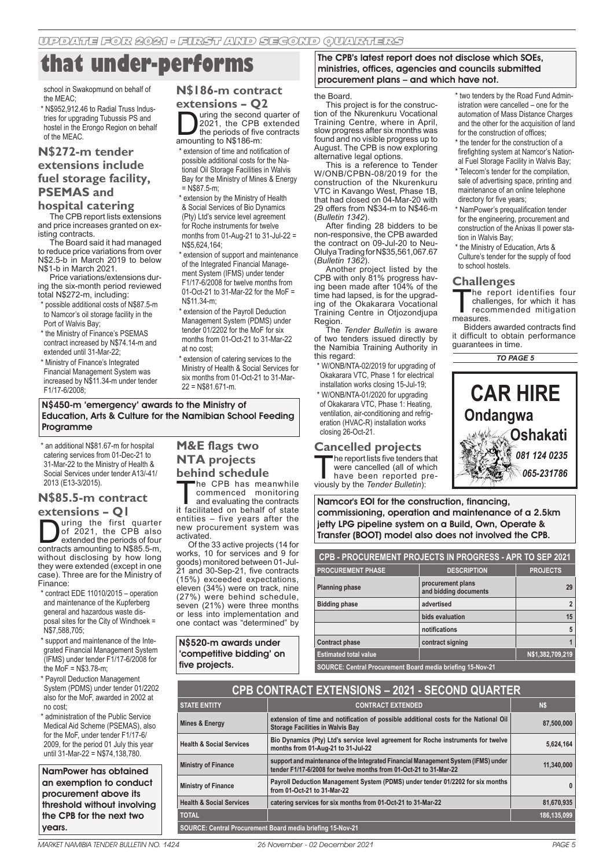# **that under-performs**

school in Swakopmund on behalf of the MEAC;

\* N\$952,912.46 to Radial Truss Industries for upgrading Tubussis PS and hostel in the Erongo Region on behalf of the MEAC.

## **N\$272-m tender extensions include fuel storage facility, PSEMAS and**

## **hospital catering**

The CPB report lists extensions and price increases granted on existing contracts.

The Board said it had managed to reduce price variations from over N\$2.5-b in March 2019 to below N\$1-b in March 2021.

Price variations/extensions during the six-month period reviewed total N\$272-m, including:

- \* possible additional costs of N\$87.5-m to Namcor's oil storage facility in the Port of Walvis Bay;
- \* the Ministry of Finance's PSEMAS contract increased by N\$74.14-m and extended until 31-Mar-22;
- \* Ministry of Finance's Integrated Financial Management System was increased by N\$11.34-m under tender F1/17-6/2008;

#### **N\$186-m contract extensions – Q2**

uring the second quarter of 2021, the CPB extended the periods of five contracts amounting to N\$186-m:

\* extension of time and notification of possible additional costs for the National Oil Storage Facilities in Walvis Bay for the Ministry of Mines & Energy  $=$  N\$87.5-m;

\* extension by the Ministry of Health & Social Services of Bio Dynamics (Pty) Ltd's service level agreement for Roche instruments for twelve months from 01-Aug-21 to 31-Jul-22 = N\$5,624,164

\* extension of support and maintenance of the Integrated Financial Management System (IFMS) under tender F1/17-6/2008 for twelve months from 01-Oct-21 to 31-Mar-22 for the MoF = N\$11.34-m;

\* extension of the Payroll Deduction Management System (PDMS) under tender 01/2202 for the MoF for six months from 01-Oct-21 to 31-Mar-22 at no cost;

\* extension of catering services to the Ministry of Health & Social Services for six months from 01-Oct-21 to 31-Mar-22 = N\$81.671-m.

#### N\$450-m 'emergency' awards to the Ministry of Education, Arts & Culture for the Namibian School Feeding Programme

\* an additional N\$81.67-m for hospital catering services from 01-Dec-21 to 31-Mar-22 to the Ministry of Health & Social Services under tender A13/-41/ 2013 (E13-3/2015).

#### **N\$85.5-m contract extensions – Q1**

 $\sum$  uring the first quarter<br>of 2021, the CPB also<br>extended the periods of four<br>contracts amounting to N\$85.5-m of 2021, the CPB also extended the periods of four contracts amounting to N\$85.5-m, without disclosing by how long they were extended (except in one case). Three are for the Ministry of Finance:

- \* contract EDE 11010/2015 operation and maintenance of the Kupferberg general and hazardous waste disposal sites for the City of Windhoek = N\$7,588,705;
- \* support and maintenance of the Integrated Financial Management System (IFMS) under tender F1/17-6/2008 for the MoF = N\$3.78-m;
- \* Payroll Deduction Management System (PDMS) under tender 01/2202 also for the MoF, awarded in 2002 at no cost;

\* administration of the Public Service Medical Aid Scheme (PSEMAS), also for the MoF, under tender F1/17-6/ 2009, for the period 01 July this year until 31-Mar-22 = N\$74,138,780.

NamPower has obtained an exemption to conduct procurement above its threshold without involving the CPB for the next two years.

## **M&E flags two NTA projects behind schedule**

he CPB has meanwhile commenced monitoring and evaluating the contracts it facilitated on behalf of state entities – five years after the new procurement system was activated.

Of the 33 active projects (14 for works, 10 for services and 9 for goods) monitored between 01-Jul-21 and 30-Sep-21, five contracts (15%) exceeded expectations, eleven (34%) were on track, nine (27%) were behind schedule, seven (21%) were three months or less into implementation and one contact was "determined" by

N\$520-m awards under 'competitive bidding' on five projects.

The CPB's latest report does not disclose which SOEs, ministries, offices, agencies and councils submitted procurement plans – and which have not.

#### the Board.

This project is for the construction of the Nkurenkuru Vocational Training Centre, where in April, slow progress after six months was found and no visible progress up to August. The CPB is now exploring alternative legal options.

This is a reference to Tender W/ONB/CPBN-08/2019 for the construction of the Nkurenkuru VTC in Kavango West, Phase 1B, that had closed on 04-Mar-20 with 29 offers from N\$34-m to N\$46-m (*Bulletin 1342*).

After finding 28 bidders to be non-responsive, the CPB awarded the contract on 09-Jul-20 to Neu-Olulya Trading for N\$35,561,067.67 (*Bulletin 1362*).

Another project listed by the CPB with only 81% progress having been made after 104% of the time had lapsed, is for the upgrading of the Okakarara Vocational Training Centre in Otjozondjupa Region.

The *Tender Bulletin* is aware of two tenders issued directly by the Namibia Training Authority in this regard:

- \* W/ONB/NTA-02/2019 for upgrading of Okakarara VTC, Phase 1 for electrical installation works closing 15-Jul-19;
- \* W/ONB/NTA-01/2020 for upgrading of Okakarara VTC, Phase 1: Heating, ventilation, air-conditioning and refrigeration (HVAC-R) installation works closing 26-Oct-21.

#### **Cancelled projects**

"he report lists five tenders that were cancelled (all of which have been reported previously by the *Tender Bulletin*):

Namcor's EOI for the construction, financing, commissioning, operation and maintenance of a 2.5km jetty LPG pipeline system on a Build, Own, Operate & Transfer (BOOT) model also does not involved the CPB.

| CPB - PROCUREMENT PROJECTS IN PROGRESS - APR TO SEP 2021   |                                            |                 |  |  |  |
|------------------------------------------------------------|--------------------------------------------|-----------------|--|--|--|
| <b>PROCUREMENT PHASE</b>                                   | <b>DESCRIPTION</b>                         | <b>PROJECTS</b> |  |  |  |
| <b>Planning phase</b>                                      | procurement plans<br>and bidding documents | 29              |  |  |  |
| <b>Bidding phase</b>                                       | advertised                                 | 2               |  |  |  |
|                                                            | bids evaluation                            | 15              |  |  |  |
| notifications                                              |                                            |                 |  |  |  |
| <b>Contract phase</b><br>contract signing                  |                                            |                 |  |  |  |
| <b>Estimated total value</b><br>N\$1,382,709,219           |                                            |                 |  |  |  |
| SOURCE: Central Procurement Board media briefing 15-Nov-21 |                                            |                 |  |  |  |

| <b>CPB CONTRACT EXTENSIONS - 2021 - SECOND QUARTER</b>                                              |                                                                                                                                                         |             |  |  |  |
|-----------------------------------------------------------------------------------------------------|---------------------------------------------------------------------------------------------------------------------------------------------------------|-------------|--|--|--|
| <b>STATE ENTITY</b><br><b>CONTRACT EXTENDED</b>                                                     |                                                                                                                                                         | N\$         |  |  |  |
| Mines & Energy                                                                                      | extension of time and notification of possible additional costs for the National Oil<br><b>Storage Facilities in Walvis Bay</b>                         | 87,500,000  |  |  |  |
| <b>Health &amp; Social Services</b>                                                                 | Bio Dynamics (Pty) Ltd's service level agreement for Roche instruments for twelve<br>months from 01-Aug-21 to 31-Jul-22                                 | 5,624,164   |  |  |  |
| <b>Ministry of Finance</b>                                                                          | support and maintenance of the Integrated Financial Management System (IFMS) under<br>tender F1/17-6/2008 for twelve months from 01-Oct-21 to 31-Mar-22 | 11,340,000  |  |  |  |
| <b>Ministry of Finance</b>                                                                          | Payroll Deduction Management System (PDMS) under tender 01/2202 for six months<br>from 01-Oct-21 to 31-Mar-22                                           | $\bf{0}$    |  |  |  |
| <b>Health &amp; Social Services</b><br>catering services for six months from 01-Oct-21 to 31-Mar-22 |                                                                                                                                                         | 81,670,935  |  |  |  |
| <b>TOTAL</b>                                                                                        |                                                                                                                                                         | 186,135,099 |  |  |  |
| SOURCE: Central Procurement Board media briefing 15-Nov-21                                          |                                                                                                                                                         |             |  |  |  |

PAGE 4 26 November - 02 December 2021 MARKET NAMIBIA TENDER BULLETIN NO. 1424 MARKET NAMIBIA TENDER BULLETIN NO. 1424 26 November - 02 December 2021 PAGE 5

#### \* two tenders by the Road Fund Administration were cancelled – one for the automation of Mass Distance Charges and the other for the acquisition of land for the construction of offices; \* the tender for the construction of a

- firefighting system at Namcor's National Fuel Storage Facility in Walvis Bay;
- \* Telecom's tender for the compilation, sale of advertising space, printing and maintenance of an online telephone directory for five years;
- \* NamPower's prequalification tender for the engineering, procurement and construction of the Anixas II power station in Walvis Bay;
- \* the Ministry of Education, Arts & Culture's tender for the supply of food to school hostels.

**Challenges**<br>**The report identifies four** The report identifies four<br>challenges, for which it has<br>recommended mitigation<br>measures challenges, for which it has measures.

Bidders awarded contracts find it difficult to obtain performance guarantees in time.

*TO PAGE 5*

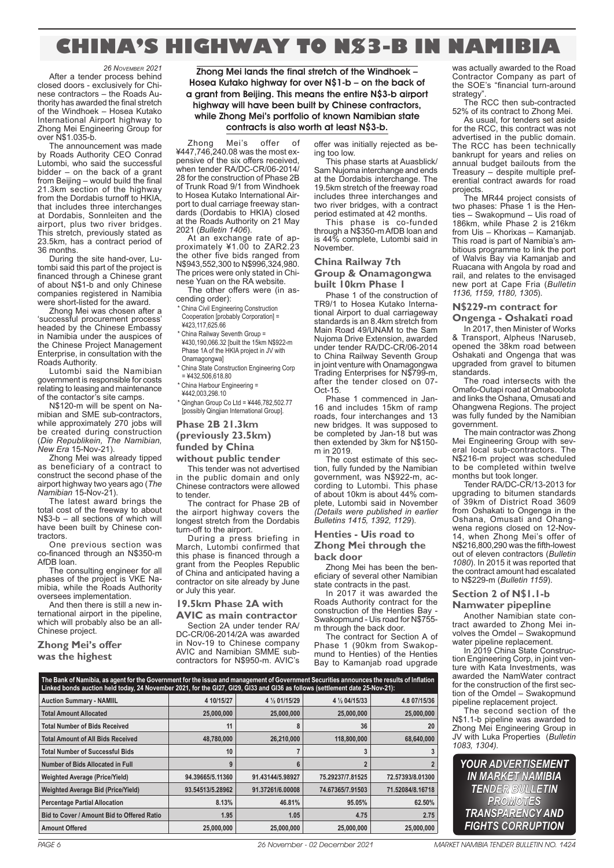# **CHINA'S HIGHWAY TO N\$3-B IN NAMIBIA**

*26 NOVEMBER 2021* After a tender process behind closed doors - exclusively for Chinese contractors – the Roads Authority has awarded the final stretch of the Windhoek – Hosea Kutako International Airport highway to Zhong Mei Engineering Group for over N\$1.035-b.

The announcement was made by Roads Authority CEO Conrad Lutombi, who said the successful bidder – on the back of a grant from Beijing – would build the final 21.3km section of the highway from the Dordabis turnoff to HKIA, that includes three interchanges at Dordabis, Sonnleiten and the airport, plus two river bridges. This stretch, previously stated as 23.5km, has a contract period of 36 months.

During the site hand-over, Lutombi said this part of the project is financed through a Chinese grant of about N\$1-b and only Chinese companies registered in Namibia were short-listed for the award.

Zhong Mei was chosen after a 'successful procurement process' headed by the Chinese Embassy in Namibia under the auspices of the Chinese Project Management Enterprise, in consultation with the Roads Authority.

Lutombi said the Namibian government is responsible for costs relating to leasing and maintenance of the contactor's site camps.

N\$120-m will be spent on Namibian and SME sub-contractors. while approximately 270 jobs will be created during construction (*Die Republikein, The Namibian, New Era* 15-Nov-21).

Zhong Mei was already tipped as beneficiary of a contract to construct the second phase of the airport highway two years ago (*The Namibian* 15-Nov-21).

 $T$ he latest award brings the total cost of the freeway to about N\$3-b – all sections of which will have been built by Chinese contractors.

One previous section was co-financed through an N\$350-m AfDB loan.

The consulting engineer for all phases of the project is VKE Namibia, while the Roads Authority oversees implementation.

And then there is still a new international airport in the pipeline, which will probably also be an all-Chinese project.

**Zhong Mei's offer was the highest**

Zhong Mei lands the final stretch of the Windhoek – Hosea Kutako highway for over N\$1-b – on the back of a grant from Beijing. This means the entire N\$3-b airport highway will have been built by Chinese contractors, while Zhong Mei's portfolio of known Namibian state contracts is also worth at least N\$3-b.

Zhong Mei's offer of ¥447,746,240.08 was the most expensive of the six offers received, when tender RA/DC-CR/06-2014/ 28 for the construction of Phase 2B of Trunk Road 9/1 from Windhoek to Hosea Kutako International Airport to dual carriage freeway standards (Dordabis to HKIA) closed at the Roads Authority on 21 May 2021 (*Bulletin 1406*).

At an exchange rate of approximately ¥1.00 to ZAR2.23 the other five bids ranged from N\$943,552,300 to N\$996,324,980. The prices were only stated in Chinese Yuan on the RA website.

The other offers were (in ascending order): **China Civil Engineering Construction** 

Cooperation [probably Corporation] = ¥423,117,625.66

\* China Railway Seventh Group = ¥430,190,066.32 [built the 15km N\$922-m Phase 1A of the HKIA project in JV with Onamagongwa]

\* China State Construction Engineering Corp  $=$  ¥432,506,618.80

\* China Harbour Engineering =

¥442,003,298.10

\* Qinghan Group Co Ltd = ¥446,782,502.77 [possibly Qingjian International Group].

**Phase 2B 21.3km (previously 23.5km) funded by China** 

**without public tender**

This tender was not advertised in the public domain and only Chinese contractors were allowed to tender.

The contract for Phase 2B of the airport highway covers the longest stretch from the Dordabis turn-off to the airport.

During a press briefing in March, Lutombi confirmed that this phase is financed through a grant from the Peoples Republic of China and anticipated having a contractor on site already by June or July this year.

#### **19.5km Phase 2A with**

**AVIC as main contractor**

Section 2A under tender RA/ DC-CR/06-2014/2A was awarded in Nov-19 to Chinese company AVIC and Namibian SMME subcontractors for N\$950-m. AVIC's

offer was initially rejected as being too low.

This phase starts at Auasblick/ Sam Nujoma interchange and ends at the Dordabis interchange. The 19.5km stretch of the freeway road includes three interchanges and two river bridges, with a contract period estimated at 42 months.

This phase is co-funded through a N\$350-m AfDB loan and is 44% complete, Lutombi said in November.

#### **China Railway 7th**

**Group & Onamagongwa built 10km Phase 1**

Phase 1 of the construction of TR9/1 to Hosea Kutako International Airport to dual carriageway standards is an 8.4km stretch from Main Road 49/UNAM to the Sam Nujoma Drive Extension, awarded under tender RA/DC-CR/06-2014 to China Railway Seventh Group in joint venture with Onamagongwa Trading Enterprises for N\$799-m, after the tender closed on 07- Oct-15.

Phase 1 commenced in Jan-16 and includes 15km of ramp roads, four interchanges and 13 new bridges. It was supposed to be completed by Jan-18 but was then extended by 3km for N\$150 m in 2019.

The cost estimate of this section, fully funded by the Namibian government, was N\$922-m, according to Lutombi. This phase of about 10km is about 44% complete, Lutombi said in November *(Details were published in earlier Bulletins 1415, 1392, 1129*).

#### **Henties - Uis road to Zhong Mei through the**

**back door**

Zhong Mei has been the beneficiary of several other Namibian state contracts in the past.

In 2017 it was awarded the Roads Authority contract for the construction of the Henties Bay - Swakopmund - Uis road for N\$755 m through the back door.

The contract for Section A of Phase 1 (90km from Swakopmund to Henties) of the Henties Bay to Kamanjab road upgrade

was actually awarded to the Road Contractor Company as part of the SOE's "financial turn-around strategy'

The RCC then sub-contracted 52% of its contract to Zhong Mei.

As usual, for tenders set aside for the RCC, this contract was not advertised in the public domain. The RCC has been technically bankrupt for years and relies on annual budget bailouts from the Treasury – despite multiple preferential contract awards for road projects.

The MR44 project consists of two phases: Phase 1 is the Henties – Swakopmund – Uis road of 186km, while Phase 2 is 216km from Uis – Khorixas – Kamanjab. This road is part of Namibia's ambitious programme to link the port of Walvis Bay via Kamanjab and Ruacana with Angola by road and rail, and relates to the envisaged new port at Cape Fria (*Bulletin 1136, 1159, 1180, 1305*).

#### **N\$229-m contract for**

**Ongenga - Oshakati road** In 2017, then Minister of Works

& Transport, Alpheus !Naruseb, opened the 38km road between Oshakati and Ongenga that was upgraded from gravel to bitumen standards.

The road intersects with the Omafo-Outapi road at Omaboolota and links the Oshana, Omusati and Ohangwena Regions. The project was fully funded by the Namibian government.

The main contractor was Zhong Mei Engineering Group with several local sub-contractors. The N\$216-m project was scheduled to be completed within twelve months but took longer.

Tender RA/DC-CR/13-2013 for upgrading to bitumen standards of 39km of District Road 3609 from Oshakati to Ongenga in the Oshana, Omusati and Ohangwena regions closed on 12-Nov-14, when Zhong Mei's offer of N\$216,800,290 was the fifth-lowest out of eleven contractors (*Bulletin 1080*). In 2015 it was reported that the contract amount had escalated to N\$229-m (*Bulletin 1159*).

#### **Section 2 of N\$1.1-b**

**Namwater pipepline**

Another Namibian state contract awarded to Zhong Mei involves the Omdel – Swakopmund water pipeline replacement.

In 2019 China State Construction Engineering Corp, in joint venture with Kata Investments, was awarded the NamWater contract for the construction of the first section of the Omdel – Swakopmund pipeline replacement project.

The second section of the N\$1.1-b pipeline was awarded to Zhong Mei Engineering Group in JV with Luka Properties (*Bulletin 1083, 1304).*

*YOUR ADVERTISEMENT IN MARKET NAMIBIA TENDER BULLETIN PROMOTES TRANSPARENCY AND FIGHTS CORRUPTION*

| The Bank of Namibia, as agent for the Government for the issue and management of Government Securities announces the results of Inflation<br>Linked bonds auction held today, 24 November 2021, for the GI27, GI29, GI33 and GI36 as follows (settlement date 25-Nov-21): |                  |                  |                  |                  |  |  |  |
|---------------------------------------------------------------------------------------------------------------------------------------------------------------------------------------------------------------------------------------------------------------------------|------------------|------------------|------------------|------------------|--|--|--|
| <b>Auction Summary - NAMIIL</b>                                                                                                                                                                                                                                           | 4 10/15/27       | 4 % 01/15/29     | 4 % 04/15/33     | 4.8 07/15/36     |  |  |  |
| <b>Total Amount Allocated</b>                                                                                                                                                                                                                                             | 25,000,000       | 25,000,000       | 25,000,000       | 25,000,000       |  |  |  |
| <b>Total Number of Bids Received</b>                                                                                                                                                                                                                                      | 11               | 8                | 36               | 20               |  |  |  |
| <b>Total Amount of All Bids Received</b>                                                                                                                                                                                                                                  | 48,780,000       | 26,210,000       | 118,800,000      | 68,640,000       |  |  |  |
| <b>Total Number of Successful Bids</b>                                                                                                                                                                                                                                    | 10               |                  |                  |                  |  |  |  |
| Number of Bids Allocated in Full                                                                                                                                                                                                                                          | 9                | 6                |                  |                  |  |  |  |
| <b>Weighted Average (Price/Yield)</b>                                                                                                                                                                                                                                     | 94.39665/5.11360 | 91.43144/5.98927 | 75.29237/7.81525 | 72.57393/8.01300 |  |  |  |
| <b>Weighted Average Bid (Price/Yield)</b>                                                                                                                                                                                                                                 | 93.54513/5.28962 | 91.37261/6.00008 | 74.67365/7.91503 | 71.52084/8.16718 |  |  |  |
| <b>Percentage Partial Allocation</b>                                                                                                                                                                                                                                      | 8.13%            | 46.81%           | 95.05%           | 62.50%           |  |  |  |
| Bid to Cover / Amount Bid to Offered Ratio                                                                                                                                                                                                                                | 1.95             | 1.05             | 4.75             | 2.75             |  |  |  |
| <b>Amount Offered</b>                                                                                                                                                                                                                                                     | 25,000,000       | 25,000,000       | 25,000,000       | 25,000,000       |  |  |  |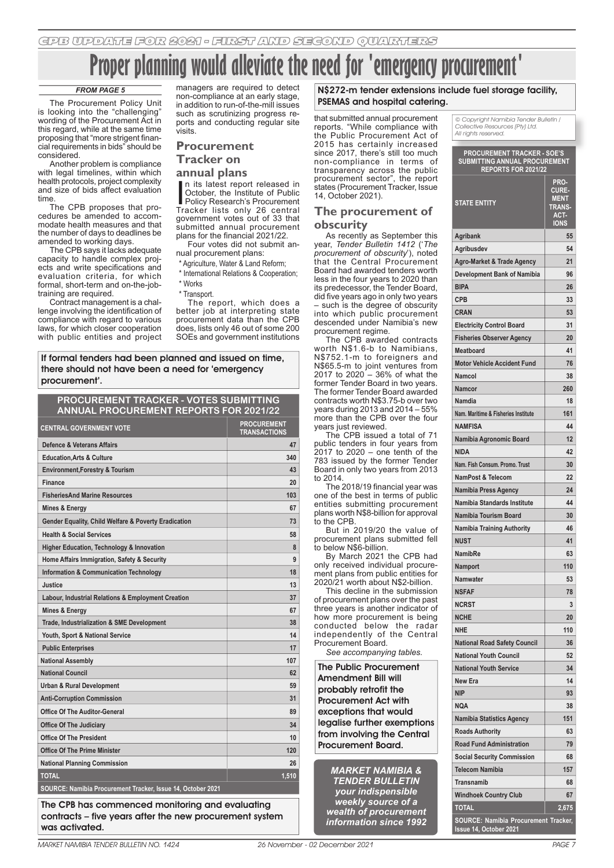# **Alleviate the need for 'emergency property**

#### *FROM PAGE 5*

The Procurement Policy Unit is looking into the "challenging" wording of the Procurement Act in this regard, while at the same time proposing that "more strigent financial requirements in bids" should be considered.

Another problem is compliance with legal timelines, within which health protocols, project complexity and size of bids affect evaluation time.

The CPB proposes that procedures be amended to accommodate health measures and that the number of days to deadlines be amended to working days.

The CPB says it lacks adequate capacity to handle complex projects and write specifications and evaluation criteria, for which formal, short-term and on-the-jobtraining are required.

Contract management is a challenge involving the identification of compliance with regard to various laws, for which closer cooperation with public entities and project managers are required to detect non-compliance at an early stage, in addition to run-of-the-mill issues such as scrutinizing progress reports and conducting regular site visits.

#### **Procurement Tracker on**

#### **annual plans**

n its latest report released in<br>October, the Institute of Public<br>Policy Research's Procurement<br>Tracker lists only 26 central n its latest report released in October, the Institute of Public Policy Research's Procurement government votes out of 33 that submitted annual procurement plans for the financial 2021/22.

Four votes did not submit annual procurement plans:

\* Agriculture, Water & Land Reform;

\* International Relations & Cooperation; \* Works

\* Transport.

The report, which does a better job at interpreting state procurement data than the CPB does, lists only 46 out of some 200 SOEs and government institutions

If formal tenders had been planned and issued on time, there should not have been a need for 'emergency procurement'.

## **PROCUREMENT TRACKER - VOTES SUBMITTING ANNUAL PROCUREMENT REPORTS FOR 2021/22**

| <b>CENTRAL GOVERNMENT VOTE</b>                              | <b>PROCUREMENT</b><br><b>TRANSACTIONS</b> |
|-------------------------------------------------------------|-------------------------------------------|
| Defence & Veterans Affairs                                  | 47                                        |
| <b>Education.Arts &amp; Culture</b>                         | 340                                       |
| <b>Environment, Forestry &amp; Tourism</b>                  | 43                                        |
| Finance                                                     | 20                                        |
| <b>FisheriesAnd Marine Resources</b>                        | 103                                       |
| Mines & Energy                                              | 67                                        |
| Gender Equality, Child Welfare & Poverty Eradication        | 73                                        |
| <b>Health &amp; Social Services</b>                         | 58                                        |
| Higher Education, Technology & Innovation                   | 8                                         |
| Home Affairs Immigration, Safety & Security                 | 9                                         |
| <b>Information &amp; Communication Technology</b>           | 18                                        |
| Justice                                                     | 13                                        |
| Labour, Industrial Relations & Employment Creation          | 37                                        |
| <b>Mines &amp; Energy</b>                                   | 67                                        |
| Trade, Industrialization & SME Development                  | 38                                        |
| Youth, Sport & National Service                             | 14                                        |
| <b>Public Enterprises</b>                                   | 17                                        |
| <b>National Assembly</b>                                    | 107                                       |
| <b>National Council</b>                                     | 62                                        |
| <b>Urban &amp; Rural Development</b>                        | 59                                        |
| <b>Anti-Corruption Commission</b>                           | 31                                        |
| <b>Office Of The Auditor-General</b>                        | 89                                        |
| <b>Office Of The Judiciary</b>                              | 34                                        |
| <b>Office Of The President</b>                              | 10                                        |
| <b>Office Of The Prime Minister</b>                         | 120                                       |
| <b>National Planning Commission</b>                         | 26                                        |
| <b>TOTAL</b>                                                | 1,510                                     |
| SOURCE: Namibia Procurement Tracker, Issue 14, October 2021 |                                           |

The CPB has commenced monitoring and evaluating contracts – five years after the new procurement system was activated.

#### N\$272-m tender extensions include fuel storage facility, PSEMAS and hospital catering.

that submitted annual procurement reports. "While compliance with the Public Procurement Act of 2015 has certainly increased since 2017, there's still too much non-compliance in terms of transparency across the public procurement sector", the report states (Procurement Tracker, Issue 14, October 2021).

#### **The procurement of obscurity**

As recently as September this year, *Tender Bulletin 1412* ('*The procurement of obscurity*'), noted that the Central Procurement Board had awarded tenders worth less in the four years to 2020 than its predecessor, the Tender Board did five years ago in only two years – such is the degree of obscurity into which public procurement descended under Namibia's new procurement regime.

The CPB awarded contracts worth N\$1.6-b to Namibians, N\$752.1-m to foreigners and N\$65.5-m to joint ventures from 2017 to 2020 – 36% of what the former Tender Board in two years. The former Tender Board awarded contracts worth N\$3.75-b over two years during 2013 and 2014 – 55% more than the CPB over the four years just reviewed.

The CPB issued a total of 71 public tenders in four years from  $2017$  to 2020 – one tenth of the 783 issued by the former Tender Board in only two years from 2013 to 2014.

The 2018/19 financial year was one of the best in terms of public entities submitting procurement plans worth N\$8-billion for approval to the CPB.

But in 2019/20 the value of procurement plans submitted fell to below N\$6-billion.

By March 2021 the CPB had only received individual procurement plans from public entities for 2020/21 worth about N\$2-billion.

This decline in the submission of procurement plans over the past three years is another indicator of how more procurement is being conducted below the radar independently of the Central Procurement Board.

*See accompanying tables.*

The Public Procurement Amendment Bill will probably retrofit the Procurement Act with exceptions that would legalise further exemptions from involving the Central Procurement Board.

*MARKET NAMIBIA & TENDER BULLETIN your indispensible weekly source of a wealth of procurement information since 1992*

© Copyright Namibia Tender Bulletin / Collective Resources (Pty) Ltd. All rights reserved.

| PROCUREMENT TRACKER - SOE'S<br>SUBMITTING ANNUAL PROCUREMENT<br>REPORTS FOR 2021/22 |                                                                             |
|-------------------------------------------------------------------------------------|-----------------------------------------------------------------------------|
| <b>STATE ENTITY</b>                                                                 | PRO-<br><b>CURE-</b><br><b>MENT</b><br><b>TRANS-</b><br>ACT-<br><b>IONS</b> |
| <b>Agribank</b>                                                                     | 55                                                                          |
| Agribusdev                                                                          | 54                                                                          |
| <b>Agro-Market &amp; Trade Agency</b>                                               | 21                                                                          |
| <b>Development Bank of Namibia</b>                                                  | 96                                                                          |
| <b>BIPA</b>                                                                         | 26                                                                          |
| <b>CPB</b>                                                                          | 33                                                                          |
| <b>CRAN</b>                                                                         | 53                                                                          |
| <b>Electricity Control Board</b>                                                    | 31                                                                          |
| <b>Fisheries Observer Agency</b>                                                    | 20                                                                          |
| <b>Meatboard</b>                                                                    | 41                                                                          |
| <b>Motor Vehicle Accident Fund</b>                                                  | 76                                                                          |
| Namcol                                                                              | 38                                                                          |
| Namcor                                                                              | 260                                                                         |
| Namdia                                                                              | 18                                                                          |
| Nam. Maritime & Fisheries Institute                                                 | 161                                                                         |
| <b>NAMFISA</b>                                                                      | 44                                                                          |
| Namibia Agronomic Board                                                             | 12                                                                          |
| <b>NIDA</b>                                                                         | 42                                                                          |
| Nam. Fish Consum. Promo. Trust                                                      | 30                                                                          |
| <b>NamPost &amp; Telecom</b>                                                        | 22                                                                          |
| Namibia Press Agency                                                                | 24                                                                          |
| Namibia Standards Institute                                                         | 44                                                                          |
| Namibia Tourism Board                                                               | 30                                                                          |
| <b>Namibia Training Authority</b>                                                   | 46                                                                          |
| <b>NUST</b>                                                                         | 41                                                                          |
| <b>NamibRe</b>                                                                      | 63                                                                          |
|                                                                                     | 110                                                                         |
| Namport<br><b>Namwater</b>                                                          | 53                                                                          |
| <b>NSFAF</b>                                                                        | 78                                                                          |
| <b>NCRST</b>                                                                        | 3                                                                           |
|                                                                                     | 20                                                                          |
| <b>NCHE</b><br><b>NHE</b>                                                           |                                                                             |
|                                                                                     | 110                                                                         |
| <b>National Road Safety Council</b>                                                 | 36<br>52                                                                    |
| <b>National Youth Council</b>                                                       |                                                                             |
| <b>National Youth Service</b>                                                       | 34                                                                          |
| New Era                                                                             | 14                                                                          |
| <b>NIP</b>                                                                          | 93                                                                          |
| NQA                                                                                 | 38                                                                          |
| <b>Namibia Statistics Agency</b>                                                    | 151                                                                         |
| <b>Roads Authority</b>                                                              | 63                                                                          |
| <b>Road Fund Administration</b>                                                     | 79                                                                          |
| <b>Social Security Commission</b>                                                   | 68                                                                          |
| <b>Telecom Namibia</b>                                                              | 157                                                                         |
| <b>Transnamib</b>                                                                   | 68                                                                          |
| <b>Windhoek Country Club</b>                                                        | 67                                                                          |
| <b>TOTAL</b>                                                                        | 2,675                                                                       |
| <b>SOURCE: Namibia Procurement Tracker,</b><br>Issue 14, October 2021               |                                                                             |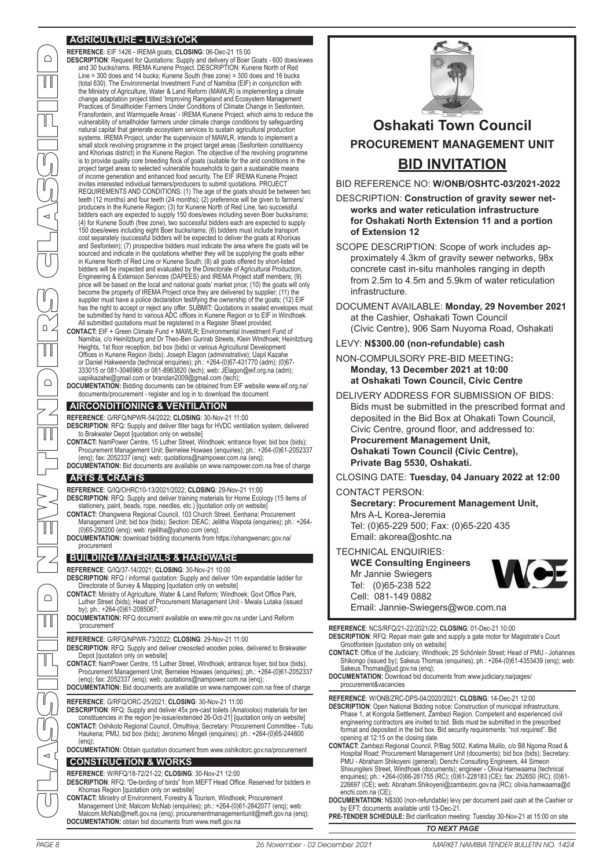## **AGRICULTURE - LIVESTOCK**

**REFERENCE**: EIF 1426 - IREMA goats; **CLOSING**: 06-Dec-21 15:00 **DESCRIPTION**: Request for Quotations: Supply and delivery of Boer Goats - 600 does/ewes and 30 bucks/rams. IREMA Kunene Project. DESCRIPTION: Kunene North of Red Line = 300 does and 14 bucks; Kunene South (free zone) = 300 does and 16 bucks (total 630). The Environmental Investment Fund of Namibia (EIF) in conjunction with the Ministry of Agriculture, Water & Land Reform (MAWLR) is implementing a climate change adaptation project titled 'Improving Rangeland and Ecosystem Management Practices of Smallholder Farmers Under Conditions of Climate Change in Sesfontein, Fransfontein, and Warmquelle Areas' - IREMA Kunene Project, which aims to reduce the vulnerability of smallholder farmers under climate change conditions by safeguarding natural capital that generate ecosystem services to sustain agricultural production systems. IREMA Project, under the supervision of MAWLR, intends to implement a small stock revolving programme in the project target areas (Sesfontein constituency and Khorixas district) in the Kunene Region. The objective of the revolving programme is to provide quality core breeding flock of goats (suitable for the arid conditions in the<br>project target areas to selected vulnerable households to gain a sustainable means<br>of income generation and enhanced food security invites interested individual farmers/producers to submit quotations. PROJECT REQUIREMENTS AND CONDITIONS: (1) The age of the goats should be between two teeth (12 months) and four teeth (24 months); (2) preference will be given to farmers/ producers in the Kunene Region; (3) for Kunene North of Red Line, two successful bidders each are expected to supply 150 does/ewes including seven Boer bucks/rams; (4) for Kunene South (free zone), two successful bidders each are expected to supply 150 does/ewes including eight Boer bucks/rams; (6) bidders must include transport cost separately (successful bidders will be expected to deliver the goats at Khorixas and Sesfontein); (7) prospective bidders must indicate the area where the goats will be sourced and indicate in the quotations whether they will be supplying the goats either in Kunene North of Red Line or Kunene South; (8) all goats offered by short-listed bidders will be inspected and evaluated by the Directorate of Agricultural Production, Engineering & Extension Services (DAPEES) and IREMA Project staff members; (9) price will be based on the local and national goats' market price; (10) the goats will only become the property of IREMA Project once they are delivered by supplier; (11) the supplier must have a police declaration testifying the ownership of the goats; (12) EIF<br>has the right to accept or reject any offer. SUBMIT: Quotations in sealed envelopes must<br>be submitted by hand to various ADC offices i All submitted quotations must be registered in a Register Sheet provided.

**CONTACT:** EIF + Green Climate Fund + MAWLR; Environmental Investment Fund of Namibia, c/o Heinitzburg and Dr Theo-Ben Gurirab Streets, Klein Windhoek; Heinitzburg Heights, 1st floor reception, bid box (bids) or various Agricultural Development Offices in Kunene Region (bids); Joseph Elagon (administrative); Uapii Kazahe or Daniel Hakweenda (technical enquiries); ph.: +264-(0)67-431770 (adm); (0)67- 333015 or 081-3046968 or 081-8983820 (tech); web: JElagon@eif.org.na (adm); uapiikazahe@gmail.com or brandan2009@gmail.com (tech);

**DOCUMENTATION:** Bidding documents can be obtained from EIF website www.eif.org.na/ documents/procurement - register and log in to download the document

#### **AIRCONDITIONING & VENTILATION**

**REFERENCE**: G/RFQ/NPWR-54/2022; **CLOSING**: 30-Nov-21 11:00

**DESCRIPTION**: RFQ: Supply and deliver filter bags for HVDC ventilation system, delivered to Brakwater Depot [quotation only on website]

**CONTACT:** NamPower Centre, 15 Luther Street, Windhoek; entrance foyer, bid box (bids); Procurement Management Unit; Bernelee Howaes (enquiries); ph.: +264-(0)61-2052337 (enq); fax: 2052337 (enq); web: quotations@nampower.com.na (enq);

**DOCUMENTATION:** Bid documents are available on www.nampower.com.na free of charge

#### **ARTS & CRAFTS**

CLASSIFIED NEW TENDERS CLASSIFIED

 $\Box$ 

 $\mathbb{H}$ 

 $\Box$ 

 $\cap$ 

 $\cap$ 

**REFERENCE**: G/IQ/OHRC10-13/2021/2022; **CLOSING**: 29-Nov-21 11:00

**DESCRIPTION**: RFQ: Supply and deliver training materials for Home Ecology (15 items of stationery, paint, beads, rope, needles, etc.) [quotation only on website] **CONTACT:** Ohangwena Regional Council, 103 Church Street, Eenhana; Procurement

- Management Unit; bid box (bids); Section: DEAC; Jelitha Wapota (enquiries); ph.: +264- (0)65-290200 (enq); web: njelitha@yahoo.com (enq);
- **DOCUMENTATION:** download bidding documents from https://ohangwenarc.gov.na/ procurement

#### **BUILDING MATERIALS & HARDWARE**

**REFERENCE**: G/IQ/37-14/2021; **CLOSING**: 30-Nov-21 10:00

**DESCRIPTION**: RFQ / informal quotation: Supply and deliver 10m expandable ladder for Directorate of Survey & Mapping [quotation only on website]

**CONTACT:** Ministry of Agriculture, Water & Land Reform; Windhoek; Govt Office Park, Luther Street (bids); Head of Procurement Management Unit - Mwala Lutaka (issued by); ph.: +264-(0)61-2085067;

**DOCUMENTATION:** RFQ document available on www.mlr.gov.na under Land Reform 'procurement'

**REFERENCE**: G/RFQ/NPWR-73/2022; **CLOSING**: 29-Nov-21 11:00

**DESCRIPTION**: RFQ: Supply and deliver creosoted wooden poles, delivered to Brakwater Depot [quotation only on website]

**CONTACT:** NamPower Centre, 15 Luther Street, Windhoek; entrance foyer, bid box (bids); Procurement Management Unit; Bernelee Howaes (enquiries); ph.: +264-(0)61-2052337 (enq); fax: 2052337 (enq); web: quotations@nampower.com.na (enq); **DOCUMENTATION:** Bid documents are available on www.nampower.com.na free of charge

**REFERENCE**: G/RFQ/ORC-25/2021; **CLOSING**: 30-Nov-21 11:00

- **DESCRIPTION**: RFQ: Supply and deliver 45x pre-cast toilets (Amalooloo) materials for ten constituencies in the region [re-issue/extended 26-Oct-21] [quotation only on website] **CONTACT:** Oshikoto Regional Council, Omuthiya; Secretary: Procurement Committee - Tutu
- Haukena; PMU, bid box (bids); Jeronimo Mingeli (enquiries); ph.: +264-(0)65-244800  $($ eng $)$ ;

**DOCUMENTATION:** Obtain quotation document from www.oshikotorc.gov.na/procurement

#### **CONSTRUCTION & WORKS**

#### **REFERENCE**: W/RFQ/18-72/21-22; **CLOSING**: 30-Nov-21 12:00

**DESCRIPTION**: RFQ: "De-birding of birds" from MEFT Head Office. Reserved for bidders in Khomas Region [quotation only on website]

**CONTACT:** Ministry of Environment, Forestry & Tourism, Windhoek; Procurement Management Unit; Malcom McNab (enquiries); ph.: +264-(0)61-2842077 (enq); web: Malcom.McNab@meft.gov.na (enq); procurementmanagementunit@meft.gov.na (enq); **DOCUMENTATION:** obtain bid documents from www.meft.gov.na



# **Oshakati Town Council PROCUREMENT MANAGEMENT UNIT BID INVITATION**

BID REFERENCE NO: **W/ONB/OSHTC-03/2021-2022**

DESCRIPTION: **Construction of gravity sewer networks and water reticulation infrastructure for Oshakati North Extension 11 and a portion of Extension 12**

SCOPE DESCRIPTION: Scope of work includes approximately 4.3km of gravity sewer networks, 98x concrete cast in-situ manholes ranging in depth from 2.5m to 4.5m and 5.9km of water reticulation infrastructure.

DOCUMENT AVAILABLE: **Monday, 29 November 2021** at the Cashier, Oshakati Town Council (Civic Centre), 906 Sam Nuyoma Road, Oshakati

#### LEVY: **N\$300.00 (non-refundable) cash**

NON-COMPULSORY PRE-BID MEETING**: Monday, 13 December 2021 at 10:00 at Oshakati Town Council, Civic Centre**

DELIVERY ADDRESS FOR SUBMISSION OF BIDS: Bids must be submitted in the prescribed format and deposited in the Bid Box at Ohakati Town Council, Civic Centre, ground floor, and addressed to: **Procurement Management Unit, Oshakati Town Council (Civic Centre), Private Bag 5530, Oshakati.**

CLOSING DATE: **Tuesday, 04 January 2022 at 12:00**

#### CONTACT PERSON:

**Secretary: Procurement Management Unit,**  Mrs A-L Korea-Jeremia Tel: (0)65-229 500; Fax: (0)65-220 435

Email: akorea@oshtc.na

#### TECHNICAL ENQUIRIES:

**WCE Consulting Engineers** Mr Jannie Swiegers Tel: (0)65-238 522 Cell: 081-149 0882 Email: Jannie-Swiegers@wce.com.na

**REFERENCE**: NCS/RFQ/21-22/2021/22; **CLOSING**: 01-Dec-21 10:00

**DESCRIPTION**: RFQ: Repair main gate and supply a gate motor for Magistrate's Court Grootfontein [quotation only on website]

- **CONTACT:** Office of the Judiciary; Windhoek; 25 Schönlein Street; Head of PMU Johannes Shikongo (issued by); Sakeus Thomas (enquiries); ph.: +264-(0)61-4353439 (enq); web: Sakeus.Thomas@jud.gov.na (enq);
- **DOCUMENTATION:** Download bid documents from www.judiciary.na/pages/ procurement&vacancies

**REFERENCE**: W/ONB/ZRC-DPS-04/2020/2021; **CLOSING**: 14-Dec-21 12:00

**DESCRIPTION**: Open National Bidding notice: Construction of municipal infrastructure, Phase 1, at Kongola Settlement, Zambezi Region. Competent and experienced civil engineering contractors are invited to bid. Bids must be submitted in the prescribed format and deposited in the bid box. Bid security requirements: "not required". Bid opening at 12:15 on the closing date.

**CONTACT:** Zambezi Regional Council, P/Bag 5002, Katima Mulilo, c/o B8 Ngoma Road & Hospital Road; Procurement Management Unit (documents); bid box (bids); Secretary: PMU - Abraham Shikoyeni (general); Denchi Consulting Engineers, 44 Simeon<br>Shixungileni Street, Windhoek (documents); engineer - Olivia Hamwaama (technical<br>enquiries); ph.: +264-(0)66-261755 (RC); (0)61-228183 (CE); fax: 25 226697 (CE); web: Abraham.Shikoyeni@zambezirc.gov.na (RC); olivia.hamwaama@d enchi.com.na (CE)

**DOCUMENTATION:** N\$300 (non-refundable) levy per document paid cash at the Cashier or by EFT; documents available until 13-Dec-21.

**PRE-TENDER SCHEDULE:** Bid clarification meeting: Tuesday 30-Nov-21 at 15:00 on site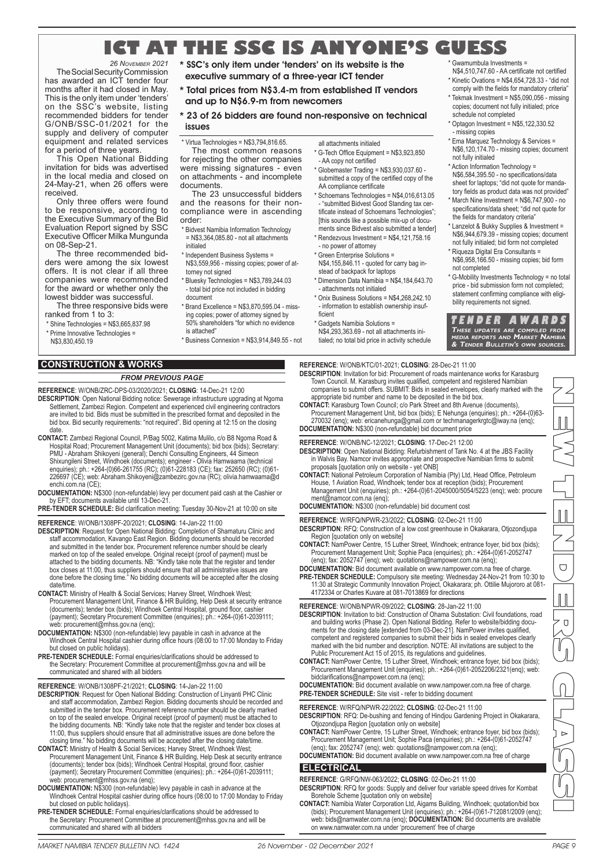## **ICT AT THE SSC IS ANYONE'S GUESS** \* Gwamumbula Investments =

*26 NOVEMBER 2021* The Social Security Commission has awarded an ICT tender four months after it had closed in May. This is the only item under 'tenders' on the SSC's website, listing recommended bidders for tender G/ONB/SSC-01/2021 for the supply and delivery of computer equipment and related services for a period of three years.

This Open National Bidding invitation for bids was advertised in the local media and closed on 24-May-21, when 26 offers were received.

Only three offers were found to be responsive, according to the Executive Summary of the Bid Evaluation Report signed by SSC Executive Officer Milka Mungunda on 08-Sep-21.

The three recommended bidders were among the six lowest offers. It is not clear if all three companies were recommended for the award or whether only the lowest bidder was successful.

The three responsive bids were ranked from 1 to 3:

- \* Shine Technologies = N\$3,665,837.98
- \* Prime Innovative Technologies = N\$3,830,450.19

**CONSTRUCTION & WORKS**

*FROM PREVIOUS PAGE*

- **REFERENCE**: W/ONB/ZRC-DPS-03/2020/2021; **CLOSING**: 14-Dec-21 12:00 **DESCRIPTION**: Open National Bidding notice: Sewerage infrastructure upgrading at Ngoma Settlement, Zambezi Region. Competent and experienced civil engineering contractors are invited to bid. Bids must be submitted in the prescribed format and deposited in the bid box. Bid security requirements: "not required". Bid opening at 12:15 on the closing date.
- **CONTACT:** Zambezi Regional Council, P/Bag 5002, Katima Mulilo, c/o B8 Ngoma Road & Hospital Road; Procurement Management Unit (documents); bid box (bids); Secretary: PMU - Abraham Shikoyeni (general); Denchi Consulting Engineers, 44 Simeon<br>Shixungileni Street, Windhoek (documents); engineer - Olivia Hamwaama (technical<br>enquiries); ph.: +264-(0)66-261755 (RC); (0)61-228183 (CE); fax: 25 226697 (CE); web: Abraham.Shikoyeni@zambezirc.gov.na (RC); olivia.hamwaama@d enchi.com.na (CE);
- **DOCUMENTATION:** N\$300 (non-refundable) levy per document paid cash at the Cashier or by EFT; documents available until 13-Dec-21.
- **PRE-TENDER SCHEDULE:** Bid clarification meeting: Tuesday 30-Nov-21 at 10:00 on site

**REFERENCE**: W/ONB/1308PF-20/2021; **CLOSING**: 14-Jan-22 11:00

- **DESCRIPTION**: Request for Open National Bidding: Completion of Shamaturu Clinic and staff accommodation, Kavango East Region. Bidding documents should be recorded and submitted in the tender box. Procurement reference number should be clearly marked on top of the sealed envelope. Original receipt (proof of payment) must be attached to the bidding documents. NB: "Kindly take note that the register and tender box closes at 11:00, thus suppliers should ensure that all administrative issues are done before the closing time." No bidding documents will be accepted after the closing date/time.
- **CONTACT:** Ministry of Health & Social Services; Harvey Street, Windhoek West; Procurement Management Unit, Finance & HR Building, Help Desk at security entrance (documents); tender box (bids); Windhoek Central Hospital, ground floor, cashier (payment); Secretary Procurement Committee (enquiries); ph.: +264-(0)61-2039111; web: procurement@mhss.gov.na (enq);
- **DOCUMENTATION:** N\$300 (non-refundable) levy payable in cash in advance at the Windhoek Central Hospital cashier during office hours (08:00 to 17:00 Monday to Friday but closed on public holidays).
- **PRE-TENDER SCHEDULE:** Formal enquiries/clarifications should be addressed to the Secretary: Procurement Committee at procurement@mhss.gov.na and will be communicated and shared with all bidders

**REFERENCE**: W/ONB/1308PF-21/2021; **CLOSING**: 14-Jan-22 11:00

- **DESCRIPTION**: Request for Open National Bidding: Construction of Linyanti PHC Clinic and staff accommodation, Zambezi Region. Bidding documents should be recorded and submitted in the tender box. Procurement reference number should be clearly marked on top of the sealed envelope. Original receipt (proof of payment) must be attached to the bidding documents. NB: "Kindly take note that the register and tender box closes at 11:00, thus suppliers should ensure that all administrative issues are done before the closing time." No bidding documents will be accepted after the closing date/time.
- **CONTACT:** Ministry of Health & Social Services; Harvey Street, Windhoek West; Procurement Management Unit, Finance & HR Building, Help Desk at security entrance (documents); tender box (bids); Windhoek Central Hospital, ground floor, cashier (payment); Secretary Procurement Committee (enquiries); ph.: +264-(0)61-2039111; web: procurement@mhss.gov.na (enq);
- **DOCUMENTATION:** N\$300 (non-refundable) levy payable in cash in advance at the Windhoek Central Hospital cashier during office hours (08:00 to 17:00 Monday to Friday but closed on public holidays).
- **PRE-TENDER SCHEDULE:** Formal enquiries/clarifications should be addressed to the Secretary: Procurement Committee at procurement@mhss.gov.na and will be communicated and shared with all bidders

\* SSC's only item under 'tenders' on its website is the executive summary of a three-year ICT tender

- \* Total prices from N\$3.4-m from established IT vendors and up to N\$6.9-m from newcomers
- 23 of 26 bidders are found non-responsive on technical issues
- Virtua Technologies = N\$3,794,816.65. The most common reasons
- for rejecting the other companies were missing signatures - even on attachments - and incomplete documents.
- The 23 unsuccessful bidders and the reasons for their noncompliance were in ascending order:
- **Bidvest Namibia Information Technology** = N\$3,364,085.80 - not all attachments initialed
- Independent Business Systems = N\$3,559,956 - missing copies; power of attorney not signed
- \* Bluesky Technologies = N\$3,789,244.03 - total bid price not included in bidding
- document \* Brand Excellence = N\$3,870,595.04 - missing copies; power of attorney signed by 50% shareholders "for which no evidence
- is attached" \* Business Connexion = N\$3,914,849.55 - not
- 
- AA copy not certified
- \* Globemaster Trading = N\$3,930,037.60 AA compliance certificate
- \* Schoemans Technologies = N\$4,016,613.05 - "submitted Bidvest Good Standing tax certificate instead of Schoemans Technologies"; [this sounds like a possible mix-up of documents since Bidvest also submitted a tender] \* Rendezvous Investment = N\$4,121,758.16
- 
- stead of backpack for laptops \* Dimension Data Namibia = N\$4,184,643.70
- \* Onix Business Solutions = N\$4,268,242.10 - information to establish ownership insuf-
- ficient \* Gadgets Namibia Solutions =

#### **REFERENCE**: W/ONB/KTC/01-2021; **CLOSING**: 28-Dec-21 11:00

**DESCRIPTION**: Invitation for bid: Procurement of roads maintenance works for Karasburg Town Council. M. Karasburg invites qualified, competent and registered Namibian companies to submit offers. SUBMIT: Bids in sealed envelopes, clearly marked with the appropriate bid number and name to be deposited in the bid box.

**T E N D E R A W A R D S**

\* G-Mobility Investments Technology = no total price - bid submission form not completed; statement confirming compliance with eligibility requirements not signed.

N\$4,510,747.60 - AA certificate not certified  $*$  Kinetic Ovations =  $N$4,654,728.33$  - "did not comply with the fields for mandatory criteria" \* Tekmak Investment = N\$5,090,056 - missing copies; document not fully initialed; price

Ema Marquez Technology & Services = N\$6,120,174.70 - missing copies; document

\* Action Information Technology = N\$6,584,395.50 - no specifications/data sheet for laptops; "did not quote for mandatory fields as product data was not provided" \* March Nine Investment = N\$6,747,900 - no specifications/data sheet; "did not quote for the fields for mandatory criteria" Lanzelot & Bukky Supplies & Investment = N\$6,944,679.39 - missing copies; document not fully initialed; bid form not completed \* Riqueza Digital Era Consultants = N\$6,958,166.50 - missing copies; bid form

schedule not completed  $*$  Optagon Investment = N\$5,122,330.52

- missing copies

not fully initialed

not completed

**CONTACT:** Karasburg Town Council; c/o Park Street and 8th Avenue (documents), Procurement Management Unit, bid box (bids); E Nehunga (enquiries); ph.: +264-(0)63-270032 (enq); web: ericanehunga@gmail.com or techmanagerkrgtc@iway.na (enq); **DOCUMENTATION:** N\$300 (non-refundable) bid document price

**REFERENCE**: W/ONB/NC-12/2021; **CLOSING**: 17-Dec-21 12:00

- **DESCRIPTION**: Open National Bidding: Refurbishment of Tank No. 4 at the JBS Facility in Walvis Bay. Namcor invites appropriate and prospective Namibian firms to submit proposals [quotation only on website - yet ONB]
- **CONTACT:** National Petroleum Corporation of Namibia (Pty) Ltd, Head Office, Petroleum House, 1 Aviation Road, Windhoek; tender box at reception (bids); Procurement Management Unit (enquiries); ph.: +264-(0)61-2045000/5054/5223 (enq); web: procure ment@namcor.com.na (enq);

**DOCUMENTATION:** N\$300 (non-refundable) bid document cost

- **REFERENCE**: W/RFQ/NPWR-23/2022; **CLOSING**: 02-Dec-21 11:00 **DESCRIPTION**: RFQ: Construction of a low cost greenhouse in Okakarara, Otjozondjupa Region [quotation only on website]
- **CONTACT:** NamPower Centre, 15 Luther Street, Windhoek; entrance foyer, bid box (bids); Procurement Management Unit; Sophie Paca (enquiries); ph.: +264-(0)61-2052747 (enq); fax: 2052747 (enq); web: quotations@nampower.com.na (enq);
- **DOCUMENTATION:** Bid document available on www.nampower.com.na free of charge. **PRE-TENDER SCHEDULE:** Compulsory site meeting: Wednesday 24-Nov-21 from 10:30 to 11:30 at Strategic Community Innovation Project, Okakarara; ph. Ottilie Mujororo at 081- 4172334 or Charles Kuvare at 081-7013869 for directions

**REFERENCE**: W/ONB/NPWR-09/2022; **CLOSING**: 28-Jan-22 11:00

- **DESCRIPTION**: Invitation to bid: Construction of Ohama Substation: Civil foundations, road and building works (Phase 2). Open National Bidding. Refer to website/bidding docu-ments for the closing date [extended from 03-Dec-21]. NamPower invites qualified, competent and registered companies to submit their bids in sealed envelopes clearly marked with the bid number and description. NOTE: All invitations are subject to the Public Procurement Act 15 of 2015, its regulations and guidelines.
- **CONTACT:** NamPower Centre, 15 Luther Street, Windhoek; entrance foyer, bid box (bids); Procurement Management Unit (enquiries); ph.: +264-(0)61-2052206/2321(enq); web: bidclarifications@nampower.com.na (enq);

**DOCUMENTATION:** Bid document available on www.nampower.com.na free of charge **PRE-TENDER SCHEDULE:** Site visit - refer to bidding document

**REFERENCE**: W/RFQ/NPWR-22/2022; **CLOSING**: 02-Dec-21 11:00

- **DESCRIPTION**: RFQ: De-bushing and fencing of Hindjou Gardening Project in Okakarara, Otjozondjupa Region [quotation only on website]
- **CONTACT:** NamPower Centre, 15 Luther Street, Windhoek; entrance foyer, bid box (bids); Procurement Management Unit; Sophie Paca (enquiries); ph.: +264-(0)61-2052747 (enq); fax: 2052747 (enq); web: quotations@nampower.com.na (enq);
- **DOCUMENTATION:** Bid document available on www.nampower.com.na free of charge **ELECTRICAL**

**REFERENCE**: G/RFQ/NW-063/2022; **CLOSING**: 02-Dec-21 11:00 **DESCRIPTION**: RFQ for goods: Supply and deliver four variable speed drives for Kombat Borehole Scheme [quotation only on website]

CONTACT: Namibia Water Corporation Ltd, Aigams Building, Windhoek; quotation/bid box<br>(bids); Procurement Management Unit (enquiries); ph.: +264-(0)61-712081/2009 (enq);<br>web: bids@namwater.com.na (enq); DOCUMENTATION: Bid d on www.namwater.com.na under 'procurement' free of charge

These updates are compiled from<br>media reports and Market Namibia<br>& Tender Bulletin's own sources. NEW TENDERS CLASSI  $\begin{array}{c} \hline \end{array}$  $\bigcup$  $\overline{O}$  $\triangleright$ 

N\$4,293,363.69 - not all attachments initialed; no total bid price in activity schedule

#### all attachments initialed \* G-Tech Office Equipment = N\$3,923,850

- submitted a copy of the certified copy of the
- 
- no power of attorney
- \* Green Enterprise Solutions = N\$4,155,846.11 - quoted for carry bag in-
	-
- attachments not initialed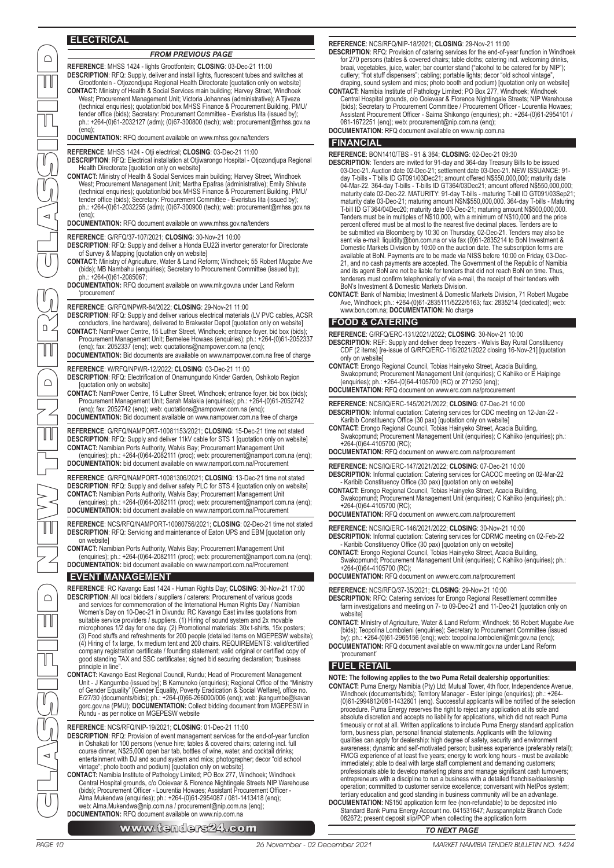#### **ELECTRICAL**

 $\cap$ 

H

1

#### *FROM PREVIOUS PAGE*

**REFERENCE**: MHSS 1424 - lights Grootfontein; **CLOSING**: 03-Dec-21 11:00 **DESCRIPTION**: RFQ: Supply, deliver and install lights, fluorescent tubes and switches at Grootfontein - Otjozondjupa Regional Health Directorate [quotation only on website] **CONTACT:** Ministry of Health & Social Services main building; Harvey Street, Windhoek West; Procurement Management Unit; Victoria Johannes (administrative); A Tjiveze (technical enquiries); quotation/bid box MHSS Finance & Procurement Building, PMU/

tender office (bids); Secretary: Procurement Committee - Evaristus Iita (issued by); ph.: +264-(0)61-2032127 (adm); (0)67-300800 (tech); web: procurement@mhss.gov.na  $($ enq $)$ 

**DOCUMENTATION:** RFQ document available on www.mhss.gov.na/tenders

**REFERENCE**: MHSS 1424 - Otji electrical; **CLOSING**: 03-Dec-21 11:00

- **DESCRIPTION**: RFQ: Electrical installation at Otjiwarongo Hospital Otjozondjupa Regional Health Directorate [quotation only on website]
- CONTACT: Ministry of Health & Social Services main building; Harvey Street, Windhoek<br>West; Procurement Management Unit; Martha Epafras (administrative); Emily Shivute<br>(technical enquiries); quotation/bid box MHSS Finance & tender office (bids); Secretary: Procurement Committee - Evaristus Iita (issued by); ph.: +264-(0)61-2032255 (adm); (0)67-300900 (tech); web: procurement@mhss.gov.na  $($ eng $)$

#### **DOCUMENTATION:** RFQ document available on www.mhss.gov.na/tenders

#### **REFERENCE**: G/RFQ/37-107/2021; **CLOSING**: 30-Nov-21 10:00

**DESCRIPTION**: RFQ: Supply and deliver a Honda EU22i invertor generator for Directorate of Survey & Mapping [quotation only on website]

- **CONTACT:** Ministry of Agriculture, Water & Land Reform; Windhoek; 55 Robert Mugabe Ave (bids); MB Nambahu (enquiries); Secretary to Procurement Committee (issued by); ph.: +264-(0)61-2085067;
- **DOCUMENTATION:** RFQ document available on www.mlr.gov.na under Land Reform 'procurement'

#### **REFERENCE**: G/RFQ/NPWR-84/2022; **CLOSING**: 29-Nov-21 11:00

**DESCRIPTION**: RFQ: Supply and deliver various electrical materials (LV PVC cables, ACSR conductors, line hardware), delivered to Brakwater Depot [quotation only on website]

- **CONTACT:** NamPower Centre, 15 Luther Street, Windhoek; entrance foyer, bid box (bids); Procurement Management Unit; Bernelee Howaes (enquiries); ph.: +264-(0)61-2052337 (enq); fax: 2052337 (enq); web: quotations@nampower.com.na (enq);
- **DOCUMENTATION:** Bid documents are available on www.nampower.com.na free of charge
- **REFERENCE**: W/RFQ/NPWR-12/2022; **CLOSING**: 03-Dec-21 11:00 **DESCRIPTION**: RFQ: Electrification of Onamungundo Kinder Garden, Oshikoto Region fquotation only on websitel
- **CONTACT:** NamPower Centre, 15 Luther Street, Windhoek; entrance foyer, bid box (bids); Procurement Management Unit; Sarah Malakia (enquiries); ph.: +264-(0)61-2052742 (enq); fax: 2052742 (enq); web: quotations@nampower.com.na (enq); **DOCUMENTATION:** Bid document available on www.nampower.com.na free of charge

**REFERENCE**: G/RFQ/NAMPORT-10081153/2021; **CLOSING**: 15-Dec-21 time not stated **DESCRIPTION**: RFQ: Supply and deliver 11kV cable for STS 1 [quotation only on website]

**CONTACT:** Namibian Ports Authority, Walvis Bay; Procurement Management Unit (enquiries); ph.: +264-(0)64-2082111 (proc); web: procurement@namport.com.na (enq); **DOCUMENTATION:** bid document available on www.namport.com.na/Procurement

**REFERENCE**: G/RFQ/NAMPORT-10081306/2021; **CLOSING**: 13-Dec-21 time not stated **DESCRIPTION**: RFQ: Supply and deliver safety PLC for STS 4 [quotation only on website]

**CONTACT:** Namibian Ports Authority, Walvis Bay; Procurement Management Unit (enquiries); ph.: +264-(0)64-2082111 (proc); web: procurement@namport.com.na (enq); **DOCUMENTATION:** bid document available on www.namport.com.na/Procurement

**REFERENCE**: NCS/RFQ/NAMPORT-10080756/2021; **CLOSING**: 02-Dec-21 time not stated **DESCRIPTION**: RFQ: Servicing and maintenance of Eaton UPS and EBM [quotation only on website]

**CONTACT:** Namibian Ports Authority, Walvis Bay; Procurement Management Unit (enquiries); ph.: +264-(0)64-2082111 (proc); web: procurement@namport.com.na (enq); **DOCUMENTATION:** bid document available on www.namport.com.na/Procurement

#### **EVENT MANAGEMENT**

**REFERENCE**: RC Kavango East 1424 - Human Rights Day; **CLOSING**: 30-Nov-21 17:00 **DESCRIPTION**: All local bidders / suppliers / caterers: Procurement of various goods and services for commemoration of the International Human Rights Day / Namibian Women's Day on 10-Dec-21 in Divundu: RC Kavango East invites quotations from suitable service providers / suppliers. (1) Hiring of sound system and 2x movable microphones 1/2 day for one day. (2) Promotional materials: 30x t-shirts, 15x posters; (3) Food stuffs and refreshments for 200 people (detailed items on MGEPESW website);<br>(4) Hiring of 1x large, 1x medium tent and 200 chairs. REQUIREMENTS: valid/certified<br>company registration certificate / founding statemen good standing TAX and SSC certificates; signed bid securing declaration; "business" principle in line.

**CONTACT:** Kavango East Regional Council, Rundu; Head of Procurement Management Unit - J Kangumbe (issued by); B Kamunoko (enquiries); Regional Office of the "Ministry of Gender Equality" [Gender Equality, Poverty Eradication & Social Welfare], office no.<br>E/27/30 (documents/bids); ph.: +264-(0)66-266000/006 (enq); web: jkangumbe@kavan<br>gorc.gov.na (PMU); DOCUMENTATION: Collect bidding do

**REFERENCE**: NCS/RFQ/NIP-19/2021; **CLOSING**: 01-Dec-21 11:00 **DESCRIPTION**: RFQ: Provision of event management services for the end-of-year function in Oshakati for 100 persons (venue hire; tables & covered chairs; catering incl. full course dinner, N\$25,000 open bar tab, bottles of wine, water, and cocktail drinks; entertainment with DJ and sound system and mics; photographer; decor "old school vintage"; photo booth and podium) [quotation only on website].

**CONTACT:** Namibia Institute of Pathology Limited; PO Box 277, Windhoek; Windhoek Central Hospital grounds, c/o Ooievaar & Florence Nightingale Streets NIP Warehouse (bids); Procurement Officer - Lourentia Howaes; Assistant Procurement Officer - Alma Mukendwa (enquiries); ph.: +264-(0)61-2954087 / 081-1413418 (enq); web: Alma.Mukendwa@nip.com.na / procurement@nip.com.na (enq); **DOCUMENTATION:** RFQ document available on www.nip.com.na

www.tenders24.com **TO NEXT PAGE** 

#### **REFERENCE**: NCS/RFQ/NIP-18/2021; **CLOSING**: 29-Nov-21 11:00

- **DESCRIPTION**: RFQ: Provision of catering services for the end-of-year function in Windhoek for 270 persons (tables & covered chairs; table cloths; catering incl. welcoming drinks,<br>braai, vegetables, juice, water; bar counter stand ("alcohol to be catered for by NIP");<br>cutlery; "hot stuff dispensers"; cabling; po
- draping, sound system and mics; photo booth and podium) [quotation only on website] **CONTACT:** Namibia Institute of Pathology Limited; PO Box 277, Windhoek; Windhoek Central Hospital grounds, c/o Ooievaar & Florence Nightingale Streets; NIP Warehouse (bids); Secretary to Procurement Committee / Procurement Officer - Lourentia Howaes;<br>Assistant Procurement Officer - Saima Shikongo (enquiries); ph.: +264-(0)61-2954101 /<br>081-1672251 (enq); web: procurement@nip.com.na (enq **DOCUMENTATION:** RFQ document available on www.nip.com.na

#### **FINANCIAL**

#### **REFERENCE**: BON1410/TBS - 91 & 364; **CLOSING**: 02-Dec-21 09:30

- **DESCRIPTION**: Tenders are invited for 91-day and 364-day Treasury Bills to be issued 03-Dec-21. Auction date 02-Dec-21; settlement date 03-Dec-21. NEW ISSUANCE: 91 day T-bills - T'bills ID GT091/03Dec21; amount offered N\$550,000,000; maturity date 04-Mar-22. 364-day T-bills - T-bills ID GT364/03Dec21; amount offered N\$550,000,000; maturity date 02-Dec-22. MATURITY: 91-day T-bills - maturing T-bill ID GT091/03Sep21;<br>maturity date 03-Dec-21; maturing amount N\$N\$550,000,000. 364-day T-bills - Maturing<br>T-bill ID GT364/04Dec20; maturity date 03-Dec-21; m percent offered must be at most to the nearest five decimal places. Tenders are to<br>be submitted via Bloomberg by 10:30 on Thursday, 02-Dec-21. Tenders may also be<br>sent via e-mail: liquidity@bon.com.na or via fax (0)61-2835 Domestic Markets Division by 10:00 on the auction date. The subscription forms are available at BoN. Payments are to be made via NISS before 10:00 on Friday, 03-Dec-21, and no cash payments are accepted. The Government of the Republic of Namibia and its agent BoN are not be liable for tenders that did not reach BoN on time. Thus, tenderers must confirm telephonically of via e-mail, the receipt of their tenders with BoN's Investment & Domestic Markets Division.
- **CONTACT:** Bank of Namibia; Investment & Domestic Markets Division, 71 Robert Mugabe Ave, Windhoek; ph.: +264-(0)61-2835111/5222/5163; fax: 2835214 (dedicated); web: www.bon.com.na; **DOCUMENTATION:** No charge

#### **FOOD & CATERING**

**REFERENCE**: G/RFQ/ERC-131/2021/2022; **CLOSING**: 30-Nov-21 10:00

- **DESCRIPTION**: REF: Supply and deliver deep freezers Walvis Bay Rural Constituency CDF (2 items) [re-issue of G/RFQ/ERC-116/2021/2022 closing 16-Nov-21] [quotation only on website
- **CONTACT:** Erongo Regional Council, Tobias Hainyeko Street, Acacia Building, Swakopmund; Procurement Management Unit (enquiries); C Kahiiko or E Haipinge (enquiries); ph.: +264-(0)64-4105700 (RC) or 271250 (enq);
- **DOCUMENTATION:** RFQ document on www.erc.com.na/procurement
- **REFERENCE**: NCS/IQ/ERC-145/2021/2022; **CLOSING**: 07-Dec-21 10:00
- **DESCRIPTION**: Informal quotation: Catering services for CDC meeting on 12-Jan-22 Karibib Constituency Office (30 pax) [quotation only on website]
- **CONTACT:** Erongo Regional Council, Tobias Hainyeko Street, Acacia Building, Swakopmund; Procurement Management Unit (enquiries); C Kahiiko (enquiries); ph.: +264-(0)64-4105700 (RC);

**DOCUMENTATION:** RFQ document on www.erc.com.na/procurement

**REFERENCE**: NCS/IQ/ERC-147/2021/2022; **CLOSING**: 07-Dec-21 10:00 **DESCRIPTION**: Informal quotation: Catering services for CACOC meeting on 02-Mar-22

- Karibib Constituency Office (30 pax) [quotation only on website] **CONTACT:** Erongo Regional Council, Tobias Hainyeko Street, Acacia Building, Swakopmund; Procurement Management Unit (enquiries); C Kahiiko (enquiries); ph.: +264-(0)64-4105700 (RC);
- **DOCUMENTATION:** RFQ document on www.erc.com.na/procurement

**REFERENCE**: NCS/IQ/ERC-146/2021/2022; **CLOSING**: 30-Nov-21 10:00 **DESCRIPTION**: Informal quotation: Catering services for CDRMC meeting on 02-Feb-22 - Karibib Constituency Office (30 pax) [quotation only on website]

- **CONTACT:** Erongo Regional Council, Tobias Hainyeko Street, Acacia Building,
- Swakopmund; Procurement Management Unit (enquiries); C Kahiiko (enquiries); ph.: +264-(0)64-4105700 (RC); **DOCUMENTATION:** RFQ document on www.erc.com.na/procurement

**REFERENCE**: NCS/RFQ/37-35/2021; **CLOSING**: 29-Nov-21 10:00

- **DESCRIPTION**: RFQ: Catering services for Erongo Regional Resettlement committee farm investigations and meeting on 7- to 09-Dec-21 and 11-Dec-21 [quotation only on website]
- **CONTACT:** Ministry of Agriculture, Water & Land Reform; Windhoek; 55 Robert Mugabe Ave (bids); Teopolina Lomboleni (enquiries); Secretary to Procurement Committee (issued by); ph.: +264-(0)61-2965156 (enq); web: teopolina.lomboleni@mlr.gov.na (enq);
- **DOCUMENTATION:** RFQ document available on www.mlr.gov.na under Land Reform 'procurement'

#### **FUEL RETAIL**

**NOTE: The following applies to the two Puma Retail dealership opportunities:**

- CONTACT: Puma Energy Namibia (Pty) Ltd; Mutual Tower, 4th floor, Independence Avenue,<br>Windhoek (documents/bids); Territory Manager Ester Ipinge (enquiries); ph.: +264-<br>(0)61-2994812/081-1432601 (enq). Successful applican absolute discretion and accepts no liability for applications, which did not reach Puma timeously or not at all. Written applications to include Puma Energy standard application form, business plan, personal financial statements. Applicants with the following qualities can apply for dealership: high degree of safety, security and environment awareness; dynamic and self-motivated person; business experience (preferably retail);<br>FMCG experience of at least five years; energy to work long hours - must be available<br>immediately; able to deal with large staff comple professionals able to develop marketing plans and manage significant cash turnovers; entrepreneurs with a discipline to run a business with a detailed franchise/dealership operation; committed to customer service excellence; conversant with NetPos syste tertiary education and good standing in business community will be an advantage.
- DOCUMENTATION: N\$150 application form fee (non-refundable) to be deposited into<br>Standard Bank Puma Energy Account no. 041531647; Ausspannplatz Branch Code<br>082672; present deposit slip/POP when collecting the application fo

CLASSIFIED NEW TENDERS CLASSIFIED

 $\Box$ 

 $\mathbb T$ 

 $\Omega$ 

╜

 $\bigcap$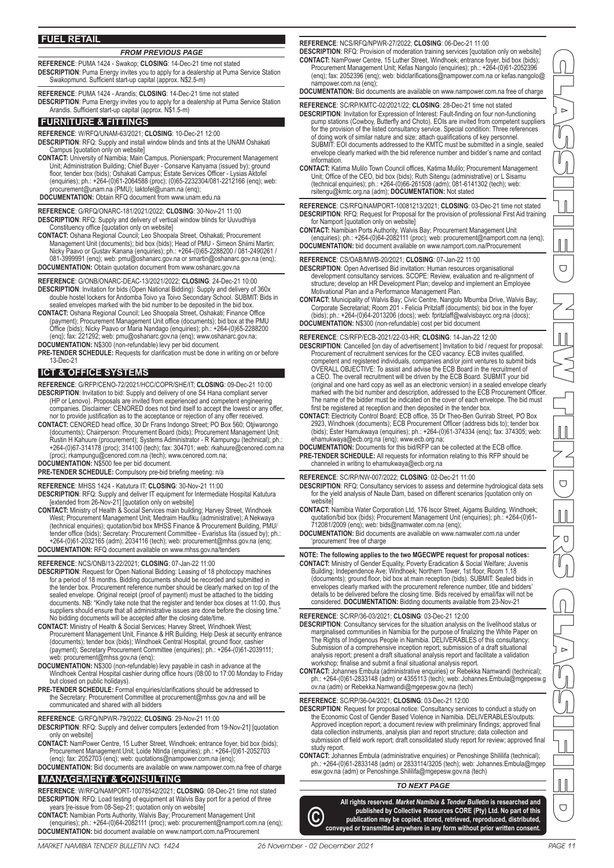#### **REFERENCE**: PUMA 1424 - Swakop; **CLOSING**: 14-Dec-21 time not stated *FROM PREVIOUS PAGE*

**DESCRIPTION**: Puma Energy invites you to apply for a dealership at Puma Service Station Swakopmund. Sufficient start-up capital (approx. N\$2.5-m)

**REFERENCE**: PUMA 1424 - Arandis; **CLOSING**: 14-Dec-21 time not stated **DESCRIPTION**: Puma Energy invites you to apply for a dealership at Puma Service Station Arandis. Sufficient start-up capital (approx. N\$1.5-m)

#### **FURNITURE & FITTINGS**

**REFERENCE**: W/RFQ/UNAM-63/2021; **CLOSING**: 10-Dec-21 12:00

**DESCRIPTION**: RFQ: Supply and install window blinds and tints at the UNAM Oshakati Campus [quotation only on website]

CONTACT: University of Namibia; Main Campus, Pionierspark; Procurement Management<br>Unit; Administration Building; Chief Buyer - Consarve Kanyama (issued by); ground<br>floor, tender box (bids); Oshakati Campus; Estate Services (enquiries); ph.: +264-(0)61-2064588 (proc); (0)65-2232304/081-2212166 (enq); web: procurement@unam.na (PMU); laktofel@unam.na (enq);

**DOCUMENTATION:** Obtain RFQ document from www.unam.edu.na

**REFERENCE**: G/RFQ/ONARC-181/2021/2022; **CLOSING**: 30-Nov-21 11:00 **DESCRIPTION**: RFQ: Supply and delivery of vertical window blinds for Uuvudhiya Constituency office [quotation only on website]

**CONTACT:** Oshana Regional Council; Leo Shoopala Street, Oshakati; Procurement Management Unit (documents); bid box (bids); Head of PMU - Simeon Shiimi Martin; Nicky Paavo or Gustav Kanana (enquiries); ph.: +264-(0)65-2288200 / 081-2490261 / 081-3999991 (enq); web: pmu@oshanarc.gov.na or smartin@oshanarc.gov.na (enq); **DOCUMENTATION:** Obtain quotation document from www.oshanarc.gov.na

**REFERENCE**: G/ONB/ONARC-DEAC-13/2021/2022; **CLOSING**: 24-Dec-21 10:00 **DESCRIPTION**: Invitation for bids (Open National Bidding): Supply and delivery of 360x double hostel lockers for Andomba Toivo ya Toivo Secondary School. SUBMIT: Bids in

sealed envelopes marked with the bid number to be deposited in the bid box. **CONTACT:** Oshana Regional Council; Leo Shoopala Street, Oshakati; Finance Office (payment); Procurement Management Unit office (documents); bid box at the PMU Office (bids); Nicky Paavo or Maria Nandago (enquiries); ph.: +264-(0)65-2288200 (enq); fax: 221292; web: pmu@oshanarc.gov.na (enq); www.oshanarc.gov.na;

**DOCUMENTATION:** N\$300 (non-refundable) levy per bid document.

**PRE-TENDER SCHEDULE:** Requests for clarification must be done in writing on or before 13-Dec-21

#### **ICT & OFFICE SYSTEMS**

**REFERENCE**: G/RFP/CENO-72/2021/HCC/COPR/SHE/IT; **CLOSING**: 09-Dec-21 10:00 **DESCRIPTION**: Invitation to bid: Supply and delivery of one S4 Hana compliant server (HP or Lenovo). Proposals are invited from experienced and competent engineering companies. Disclaimer: CENORED does not bind itself to accept the lowest or any offer, nor to provide justification as to the acceptance or rejection of any offer received.

**CONTACT:** CENORED head office, 30 Dr Frans Indongo Street; PO Box 560; Otjiwarongo (documents); Chairperson: Procurement Board (bids); Procurement Management Unit; Rustin H Kahuure (procurement); Systems Administrator - R Kampungu (technical); ph.: +264-(0)67-314178 (proc); 314100 (tech); fax: 304701; web: rkahuure@cenored.com.na (proc); rkampungu@cenored.com.na (tech); www.cenored.com.na;

**DOCUMENTATION:** N\$500 fee per bid document.

**PRE-TENDER SCHEDULE:** Compulsory pre-bid briefing meeting: n/a

**REFERENCE**: MHSS 1424 - Katutura IT; **CLOSING**: 30-Nov-21 11:00 **DESCRIPTION**: RFQ: Supply and deliver IT equipment for Intermediate Hospital Katutura [extended from 26-Nov-21] [quotation only on website]

**CONTACT:** Ministry of Health & Social Services main building; Harvey Street, Windhoek West; Procurement Management Unit; Medraim Haufiku (administrative); A Nekwaya (technical enquiries); quotation/bid box MHSS Finance & Procurement Building, PMU/ tender office (bids); Secretary: Procurement Committee - Evaristus Iita (issued by); ph.: +264-(0)61-2032165 (adm); 2034116 (tech); web: procurement@mhss.gov.na (enq; **DOCUMENTATION:** RFQ document available on www.mhss.gov.na/tenders

#### **REFERENCE**: NCS/ONB/13-22/2021; **CLOSING**: 07-Jan-22 11:00

**DESCRIPTION**: Request for Open National Bidding: Leasing of 18 photocopy machines for a period of 18 months. Bidding documents should be recorded and submitted in the tender box. Procurement reference number should be clearly marked on top of the sealed envelope. Original receipt (proof of payment) must be attached to the bidding<br>documents. NB: "Kindly take note that the register and tender box closes at 11:00, thus<br>suppliers should ensure that all administrative i No bidding documents will be accepted after the closing date/time.

CONTACT: Ministry of Health & Social Services; Harvey Street, Windhoek West;<br>Procurement Management Unit, Finance & HR Building, Help Desk at security entrance<br>(documents); tender box (bids); Windhoek Central Hospital, gro (payment); Secretary Procurement Committee (enquiries); ph.: +264-(0)61-2039111; web: procurement@mhss.gov.na (enq);

- **DOCUMENTATION:** N\$300 (non-refundable) levy payable in cash in advance at the Windhoek Central Hospital cashier during office hours (08:00 to 17:00 Monday to Friday but closed on public holidays).
- **PRE-TENDER SCHEDULE:** Formal enquiries/clarifications should be addressed to the Secretary: Procurement Committee at procurement@mhss.gov.na and will be communicated and shared with all bidders

#### **REFERENCE**: G/RFQ/NPWR-79/2022; **CLOSING**: 29-Nov-21 11:00

**DESCRIPTION**: RFQ: Supply and deliver computers [extended from 19-Nov-21] [quotation only on website]

**CONTACT:** NamPower Centre, 15 Luther Street, Windhoek; entrance foyer, bid box (bids); Procurement Management Unit; Loide Ntinda (enquiries); ph.: +264-(0)61-2052703 (enq); fax: 2052703 (enq); web: quotations@nampower.com.na (enq);

**DOCUMENTATION:** Bid documents are available on www.nampower.com.na free of charge

## **MANAGEMENT & CONSULTING**

**REFERENCE**: W/RFQ/NAMPORT-10078542/2021; **CLOSING**: 08-Dec-21 time not stated **DESCRIPTION**: RFQ: Load testing of equipment at Walvis Bay port for a period of three years [re-issue from 08-Sep-21; quotation only on website]

**CONTACT:** Namibian Ports Authority, Walvis Bay; Procurement Management Unit (enquiries); ph.: +264-(0)64-2082111 (proc); web: procurement@namport.com.na (enq); **DOCUMENTATION:** bid document available on www.namport.com.na/Procurement

#### **REFERENCE**: NCS/RFQ/NPWR-27/2022; **CLOSING**: 06-Dec-21 11:00

**DESCRIPTION**: RFQ: Provision of moderation training services [quotation only on website] **CONTACT:** NamPower Centre, 15 Luther Street, Windhoek; entrance foyer, bid box (bids); Procurement Management Unit; Kefas Nangolo (enquiries); ph.: +264-(0)61-2052396 (enq); fax: 2052396 (enq); web: bidclarifications@nampower.com.na or kefas.nangolo@ nampower.com.na (enq);

**DOCUMENTATION:** Bid documents are available on www.nampower.com.na free of charge

#### **REFERENCE**: SC/RP/KMTC-02/2021/22; **CLOSING**: 28-Dec-21 time not stated

**DESCRIPTION**: Invitation for Expression of Interest: Fault-finding on four non-functioning pump stations (Cowboy, Butterfly and Choto). EOIs are invited from competent suppliers for the provision of the listed consultancy service. Special condition: Three references of doing work of similar nature and size; attach qualifications of key personnel. SUBMIT: EOI documents addressed to the KMTC must be submitted in a single, sealed envelope clearly marked with the bid reference number and bidder's name and contact information.

**CONTACT:** Katima Mulilo Town Council offices, Katima Mulilo; Procurement Management Unit; Office of the CEO, bid box (bids); Ruth Sitengu (administrative) or L Sisamu (technical enquiries); ph.: +264-(0)66-261508 (adm); 081-6141302 (tech); web: rsitengu@kmtc.org.na (adm); **DOCUMENTATION:** Not stated

**REFERENCE**: CS/RFQ/NAMPORT-10081213/2021; **CLOSING**: 03-Dec-21 time not stated **DESCRIPTION**: RFQ: Request for Proposal for the provision of professional First Aid training for Namport [quotation only on website]

**CONTACT:** Namibian Ports Authority, Walvis Bay; Procurement Management Unit (enquiries); ph.: +264-(0)64-2082111 (proc); web: procurement@namport.com.na (enq);

**DOCUMENTATION:** bid document available on www.namport.com.na/Procurement

**REFERENCE**: CS/OAB/MWB-20/2021; **CLOSING**: 07-Jan-22 11:00

- **DESCRIPTION**: Open Advertised Bid invitation: Human resources organisational development consultancy services. SCOPE: Review, evaluation and re-alignment of structure; develop an HR Development Plan; develop and implement an Employee Motivational Plan and a Performance Management Plan.
- **CONTACT:** Municipality of Walvis Bay; Civic Centre, Nangolo Mbumba Drive, Walvis Bay; Corporate Secretariat; Room 201 Felicia Pritzlaff (documents); bid box in the foyer (bids); ph.: +264-(0)64-2013206 (docs); web: fpritzlaff@walvisbaycc.org.na (docs); **DOCUMENTATION:** N\$300 (non-refundable) cost per bid document

**REFERENCE**: CS/RFP/ECB-2021/22-03-HR; **CLOSING**: 14-Jan-22 12:00

- **DESCRIPTION**: Cancelled [on day of advertisement:] Invitation to bid / request for proposal: Procurement of recruitment services for the CEO vacancy. ECB invites qualified, competent and registered individuals, companies and/or joint ventures to submit bids OVERALL OBJECTIVE: To assist and advise the ECB Board in the recruitment of a CEO. The overall recruitment will be driven by the ECB Board. SUBMIT your bid (original and one hard copy as well as an electronic version) in a sealed envelope clearly marked with the bid number and description, addressed to the ECB Procurement Officer. The name of the bidder must be indicated on the cover of each envelope. The bid must first be registered at reception and then deposited in the tender box.
- **CONTACT:** Electricity Control Board; ECB office, 35 Dr Theo-Ben Gurirab Street, PO Box 2923, Windhoek (documents); ECB Procurement Officer (address bids to); tender box (bids); Ester Hamukwaya (enquiries); ph.: +264-(0)61-374334 (enq); fax: 374305; web: ehamukwaya@ecb.org.na (enq); www.ecb.org.na;
- **DOCUMENTATION:** Documents for this bid/RFP can be collected at the ECB office. **PRE-TENDER SCHEDULE:** All requests for information relating to this RFP should be channeled in writing to ehamukwaya@ecb.org.na

**REFERENCE**: SC/RP/NW-007/2022; **CLOSING**: 02-Dec-21 11:00

- **DESCRIPTION**: RFQ: Consultancy services to assess and determine hydrological data sets for the yield analysis of Naute Dam, based on different scenarios [quotation only on website]
- **CONTACT:** Namibia Water Corporation Ltd, 176 Iscor Street, Aigams Building, Windhoek; quotation/bid box (bids); Procurement Management Unit (enquiries); ph.: +264-(0)61- 712081/2009 (enq); web: bids@namwater.com.na (enq);

**DOCUMENTATION:** Bid documents are available on www.namwater.com.na under 'procurement' free of charge

#### **NOTE: The following applies to the two MGECWPE request for proposal notices:**

**CONTACT:** Ministry of Gender Equality, Poverty Eradication & Social Welfare; Juvenis Building; Independence Ave; Windhoek; Northern Tower, 1st floor, Room 1.18 (documents); ground floor, bid box at main reception (bids). SUBMIT: Sealed bids in envelopes clearly marked with the procurement reference number, title and bidders' details to be delivered before the closing time. Bids received by email/fax will not be considered. **DOCUMENTATION:** Bidding documents available from 23-Nov-21

#### **REFERENCE**: SC/RP/36-03/2021; **CLOSING**: 03-Dec-21 12:00

- **DESCRIPTION**: Consultancy services for the situation analysis on the livelihood status or marginalised communities in Namibia for the purpose of finalizing the White Paper on The Rights of Indigenous People in Namibia. DELIVERABLES of this consultancy: Submission of a comprehensive inception report; submission of a draft situational analysis report; present a draft situational analysis report and facilitate a validation workshop; finalise and submit a final situational analysis report.
- **CONTACT:** Johannes Embula (administrative enquiries) or Rebekka Namwandi (technical); ph.: +264-(0)61-2833148 (adm) or 4355113 (tech); web: Johannes.Embula@mgepesw.g ov.na (adm) or Rebekka.Namwandi@mgepesw.gov.na (tech)

#### **REFERENCE**: SC/RP/36-04/2021; **CLOSING**: 03-Dec-21 12:00

- **DESCRIPTION**: Request for proposal notice: Consultancy services to conduct a study on the Economic Cost of Gender Based Violence in Namibia. DELIVERABLES/outputs: Approved inception report; a document review with preliminary findings; approved final data collection instruments, analysis plan and report structure; data collection and submission of field work report; draft consolidated study report for review; approved final study report.
- **CONTACT:** Johannes Embula (administrative enquiries) or Penoshinge Shililifa (technical); ph.: +264-(0)61-2833148 (adm) or 2833114/3205 (tech); web: Johannes.Embula@mgep esw.gov.na (adm) or Penoshinge.Shililifa@mgepesw.gov.na (tech)

#### *TO NEXT PAGE*

**All rights reserved.** *Market Namibia & Tender Bulletin* **is researched and**  published by Collective Resources CORE (Pty) Ltd. No part of this<br>conveyed or transmitted anywhere in any form without prior written consent.



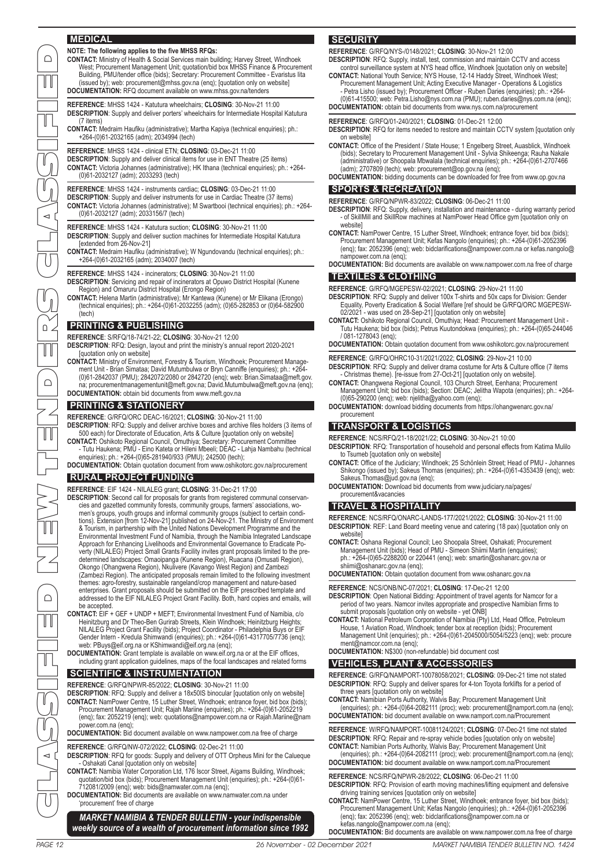#### **MEDICAL**

**CONTACT:** Ministry of Health & Social Services main building; Harvey Street, Windhoek West; Procurement Management Unit; quotation/bid box MHSS Finance & Procurement Building, PMU/tender office (bids); Secretary: Procurement Committee - Evaristus Iita (issued by); web: procurement@mhss.gov.na (enq); [quotation only on website] **DOCUMENTATION:** RFQ document available on www.mhss.gov.na/tenders

**REFERENCE**: MHSS 1424 - Katutura wheelchairs; **CLOSING**: 30-Nov-21 11:00 **DESCRIPTION**: Supply and deliver porters' wheelchairs for Intermediate Hospital Katutura (7 items)

**CONTACT:** Medraim Haufiku (administrative); Martha Kapiya (technical enquiries); ph.: +264-(0)61-2032165 (adm); 2034994 (tech)

**REFERENCE**: MHSS 1424 - clinical ETN; **CLOSING**: 03-Dec-21 11:00 **DESCRIPTION**: Supply and deliver clinical items for use in ENT Theatre (25 items) **CONTACT:** Victoria Johannes (administrative); HK Ithana (technical enquiries); ph.: +264- (0)61-2032127 (adm); 2033293 (tech)

**REFERENCE**: MHSS 1424 - instruments cardiac; **CLOSING**: 03-Dec-21 11:00 **DESCRIPTION**: Supply and deliver instruments for use in Cardiac Theatre (37 items) **CONTACT:** Victoria Johannes (administrative); M Swartbooi (technical enquiries); ph.: +264- (0)61-2032127 (adm); 2033156/7 (tech)

**REFERENCE**: MHSS 1424 - Katutura suction; **CLOSING**: 30-Nov-21 11:00 **DESCRIPTION**: Supply and deliver suction machines for Intermediate Hospital Katutura [extended from 26-Nov-21]

**CONTACT:** Medraim Haufiku (administrative); W Ngundovandu (technical enquiries); ph.: +264-(0)61-2032165 (adm); 2034007 (tech)

**REFERENCE**: MHSS 1424 - incinerators; **CLOSING**: 30-Nov-21 11:00

#### **DESCRIPTION**: Servicing and repair of incinerators at Opuwo District Hospital (Kunene Region) and Omaruru District Hospital (Erongo Region)

**CONTACT:** Helena Martin (administrative); Mr Kantewa (Kunene) or Mr Elikana (Erongo) (technical enquiries); ph.: +264-(0)61-2032255 (adm); (0)65-282853 or (0)64-582900 (tech)

#### **PRINTING & PUBLISHING**

**REFERENCE**: S/RFQ/18-74/21-22; **CLOSING**: 30-Nov-21 12:00

**DESCRIPTION**: RFQ: Design, layout and print the ministry's annual report 2020-2021 [quotation only on website]

**CONTACT:** Ministry of Environment, Forestry & Tourism, Windhoek; Procurement Management Unit - Brian Simataa; David Mutumbulwa or Bryn Canniffe (enquiries); ph.: +264- (0)61-2842037 (PMU); 2842072/2080 or 2842720 (enq); web: Brian.Simataa@meft.gov. na; procurementmanagementunit@meft.gov.na; David.Mutumbulwa@meft.gov.na (enq); **DOCUMENTATION:** obtain bid documents from www.meft.gov.na

#### **PRINTING & STATIONERY**

**REFERENCE**: G/RFQ/ORC DEAC-16/2021; **CLOSING**: 30-Nov-21 11:00

**DESCRIPTION**: RFQ: Supply and deliver archive boxes and archive files holders (3 items of 500 each) for Directorate of Education, Arts & Culture [quotation only on website]

CONTACT: Oshikoto Regional Council, Omuthiya; Secretary: Procurement Committee<br>Tutu Haukena; PMU - Eino Kateta or Hileni Mbeeli; DEAC - Lahja Nambahu (technical enquiries); ph.: +264-(0)65-281940/933 (PMU); 242500 (tech);

**DOCUMENTATION:** Obtain quotation document from www.oshikotorc.gov.na/procurement

## **RURAL PROJECT FUNDING**

**REFERENCE**: EIF 1424 - NILALEG grant; **CLOSING**: 31-Dec-21 17:00

- **DESCRIPTION**: Second call for proposals for grants from registered communal conservancies and gazetted community forests, community groups, farmers' associations, wo-<br>men's groups, youth groups and informal community groups (subject to certain condi-<br>tions). Extension [from 12-Nov-21] published on 24-Nov-2 & Tourism, in partnership with the United Nations Development Programme and the<br>Environmental Investment Fund of Namibia, through the Namibia Integrated Landscape<br>Approach for Enhancing Livelihoods and Environmental Govern verty (NILALEG) Project Small Grants Facility invites grant proposals limited to the pre-<br>determined landscapes: Omaoipanga (Kunene Region), Ruacana (Omusati Region),<br>Okongo (Ohangwena Region), Nkulivere (Kavango West Regi (Zambezi Region). The anticipated proposals remain limited to the following investment themes: agro-forestry, sustainable rangeland/crop management and nature-based enterprises. Grant proposals should be submitted on the EIF prescribed template and addressed to the EIF NILALEG Project Grant Facility. Both, hard copies and emails, will be accepted. COLUMN THE CONSULTIFIED INTERFERS CONSULTIFIED INTERFERS CONSULTIFIED INTERFERS CLASSIFIED INTERFERS CLASSIFIED INTERFERS CLASSIFIED INTERFERS CLASSIFIED INTERFERS CLASSIFIED INTERFERS CLASSIFIED INTERFERS CLASSIFIED INTE
	- **CONTACT:** EIF + GEF + UNDP + MEFT; Environmental Investment Fund of Namibia, c/o Heinitzburg and Dr Theo-Ben Gurirab Streets, Klein Windhoek; Heinitzburg Heights; NILALEG Project Grant Facility (bids); Project Coordinator - Philadelphia Buys or EIF Gender Intern - Kredula Shimwandi (enquiries); ph.: +264-(0)61-4317705/7736 (enq); web: PBuys@eif.org.na or KShimwandi@eif.org.na (enq);
	- **DOCUMENTATION:** Grant template is available on www.eif.org.na or at the EIF offices, including grant application guidelines, maps of the focal landscapes and related forms

#### **SCIENTIFIC & INSTRUMENTATION**

**REFERENCE**: G/RFQ/NPWR-85/2022; **CLOSING**: 30-Nov-21 11:00

**DESCRIPTION**: RFQ: Supply and deliver a 18x50IS binocular [quotation only on website] **CONTACT:** NamPower Centre, 15 Luther Street, Windhoek; entrance foyer, bid box (bids); Procurement Management Unit; Rajah Mariine (enquiries); ph.: +264-(0)61-2052219 (enq); fax: 2052219 (enq); web: quotations@nampower.com.na or Rajah.Mariine@nam power.com.na (enq);

**DOCUMENTATION:** Bid document available on www.nampower.com.na free of charge

- **REFERENCE**: G/RFQ/NW-072/2022; **CLOSING**: 02-Dec-21 11:00
- **DESCRIPTION**: RFQ for goods: Supply and delivery of OTT Orpheus Mini for the Calueque - Oshakati Canal [quotation only on website]
- **CONTACT:** Namibia Water Corporation Ltd, 176 Iscor Street, Aigams Building, Windhoek; quotation/bid box (bids); Procurement Management Unit (enquiries); ph.: +264-(0)61- 712081/2009 (enq); web: bids@namwater.com.na (enq);
- **DOCUMENTATION:** Bid documents are available on www.namwater.com.na under 'procurement' free of charge

*weekly source of a wealth of procurement information since 1992*

#### **SECURITY**

**REFERENCE**: G/RFQ/NYS-/0148/2021; **CLOSING**: 30-Nov-21 12:00 **DESCRIPTION**: RFQ: Supply, install, test, commission and maintain CCTV and access

control surveillance system at NYS head office, Windhoek [quotation only on website] **CONTACT:** National Youth Service; NYS House, 12-14 Haddy Street, Windhoek West;

- Procurement Management Unit; Acting Executive Manager Operations & Logistics Petra Lisho (issued by); Procurement Officer Ruben Daries (enquiries); ph.: +264-
- (0)61-415500; web: Petra.Lisho@nys.com.na (PMU); ruben.daries@nys.com.na (enq); **DOCUMENTATION:** obtain bid documents from www.nys.com.na/procurement

#### **REFERENCE**: G/RFQ/01-240/2021; **CLOSING**: 01-Dec-21 12:00

**DESCRIPTION**: RFQ for items needed to restore and maintain CCTV system [quotation only on website]

- **CONTACT:** Office of the President / State House; 1 Engelberg Street, Auasblick, Windhoek (bids); Secretary to Procurement Management Unit Sylvia Shikeenga; Rauha Nakale (administrative) or Shoopala Mbwalala (technical enquiries); ph.: +264-(0)61-2707466 (adm); 2707809 (tech); web: procurement@op.gov.na (enq);
- **DOCUMENTATION:** bidding documents can be downloaded for free from www.op.gov.na

#### **SPORTS & RECREATION**

**REFERENCE**: G/RFQ/NPWR-83/2022; **CLOSING**: 06-Dec-21 11:00

- **DESCRIPTION**: RFQ: Supply, delivery, installation and maintenance during warranty period of SkillMill and SkillRow machines at NamPower Head Office gym [quotation only on website]
- **CONTACT:** NamPower Centre, 15 Luther Street, Windhoek; entrance foyer, bid box (bids); Procurement Management Unit; Kefas Nangolo (enquiries); ph.: +264-(0)61-2052396 (enq); fax: 2052396 (enq); web: bidclarifications@nampower.com.na or kefas.nangolo@ nampower.com.na (enq);
- **DOCUMENTATION:** Bid documents are available on www.nampower.com.na free of charge

## **TEXTILES & CLOTHING**

- **REFERENCE**: G/RFQ/MGEPESW-02/2021; **CLOSING**: 29-Nov-21 11:00
- DESCRIPTION: RFQ: Supply and deliver 100x T-shirts and 50x caps for Division: Gender<br>Equality, Poverty Eradication & Social Welfare [ref should be G/RFQ/ORC MGEPESW-<br>02/2021 was used on 28-Sep-21] [quotation only on webs
- **CONTACT:** Oshikoto Regional Council, Omuthiya; Head: Procurement Management Unit Tutu Haukena; bid box (bids); Petrus Kuutondokwa (enquiries); ph.: +264-(0)65-244046 / 081-1278043 (enq);

**DOCUMENTATION:** Obtain quotation document from www.oshikotorc.gov.na/procurement

- **REFERENCE**: G/RFQ/OHRC10-31/2021/2022; **CLOSING**: 29-Nov-21 10:00 **DESCRIPTION**: RFQ: Supply and deliver drama costume for Arts & Culture office (7 items
- Christmas theme). [re-issue from 27-Oct-21] [quotation only on website]. **CONTACT:** Ohangwena Regional Council, 103 Church Street, Eenhana; Procurement Management Unit; bid box (bids); Section: DEAC; Jelitha Wapota (enquiries); ph.: +264-
- (0)65-290200 (enq); web: njelitha@yahoo.com (enq);
- **DOCUMENTATION:** download bidding documents from https://ohangwenarc.gov.na/ procurement

#### **TRANSPORT & LOGISTICS**

**REFERENCE**: NCS/RFQ/21-18/2021/22; **CLOSING**: 30-Nov-21 10:00 **DESCRIPTION**: RFQ: Transportation of household and personal effects from Katima Mulilo to Tsumeb [quotation only on website]

- **CONTACT:** Office of the Judiciary; Windhoek; 25 Schönlein Street; Head of PMU Johannes Shikongo (issued by); Sakeus Thomas (enquiries); ph.: +264-(0)61-4353439 (enq); web:
- Sakeus.Thomas@jud.gov.na (enq); **DOCUMENTATION:** Download bid documents from www.judiciary.na/pages/ procurement&vacancies

#### **TRAVEL & HOSPITALITY**

**REFERENCE**: NCS/RFQ/ONARC-LANDS-177/2021/2022; **CLOSING**: 30-Nov-21 11:00 **DESCRIPTION**: REF: Land Board meeting venue and catering (18 pax) [quotation only on website]

**CONTACT:** Oshana Regional Council; Leo Shoopala Street, Oshakati; Procurement Management Unit (bids); Head of PMU - Simeon Shiimi Martin (enquiries); ph.: +264-(0)65-2288200 or 220441 (enq); web: smartin@oshanarc.gov.na or shiimi@oshanarc.gov.na (enq);

**DOCUMENTATION:** Obtain quotation document from www.oshanarc.gov.na

- **REFERENCE**: NCS/ONB/NC-07/2021; **CLOSING**: 17-Dec-21 12:00
- **DESCRIPTION**: Open National Bidding: Appointment of travel agents for Namcor for a period of two years. Namcor invites appropriate and prospective Namibian firms to submit proposals [quotation only on website - yet ONB]
- **CONTACT:** National Petroleum Corporation of Namibia (Pty) Ltd, Head Office, Petroleum House, 1 Aviation Road, Windhoek; tender box at reception (bids); Procurement Management Unit (enquiries); ph.: +264-(0)61-2045000/5054/5223 (enq); web: procure ment@namcor.com.na (enq);

## **DOCUMENTATION:** N\$300 (non-refundable) bid document cost

#### **VEHICLES, PLANT & ACCESSORIES**

**REFERENCE**: G/RFQ/NAMPORT-10078058/2021; **CLOSING**: 09-Dec-21 time not stated **DESCRIPTION**: RFQ: Supply and deliver spares for 4-ton Toyota forklifts for a period of three years [quotation only on website]

**CONTACT:** Namibian Ports Authority, Walvis Bay; Procurement Management Unit (enquiries); ph.: +264-(0)64-2082111 (proc); web: procurement@namport.com.na (enq); **DOCUMENTATION:** bid document available on www.namport.com.na/Procurement

**REFERENCE**: W/RFQ/NAMPORT-10081124/2021; **CLOSING**: 07-Dec-21 time not stated **DESCRIPTION**: RFQ: Repair and re-spray vehicle bodies [quotation only on website]

**CONTACT:** Namibian Ports Authority, Walvis Bay; Procurement Management Unit (enquiries); ph.: +264-(0)64-2082111 (proc); web: procurement@namport.com.na (enq); **DOCUMENTATION:** bid document available on www.namport.com.na/Procurement

**REFERENCE**: NCS/RFQ/NPWR-28/2022; **CLOSING**: 06-Dec-21 11:00 **DESCRIPTION**: RFQ: Provision of earth moving machines/lifting equipment and defensive

driving training services [quotation only on website] **CONTACT:** NamPower Centre, 15 Luther Street, Windhoek; entrance foyer, bid box (bids); Procurement Management Unit; Kefas Nangolo (enquiries); ph.: +264-(0)61-2052396 (enq); fax: 2052396 (enq); web: bidclarifications@nampower.com.na or kefas.nangolo@nampower.com.na (enq);

**DOCUMENTATION:** Bid documents are available on www.nampower.com.na free of charge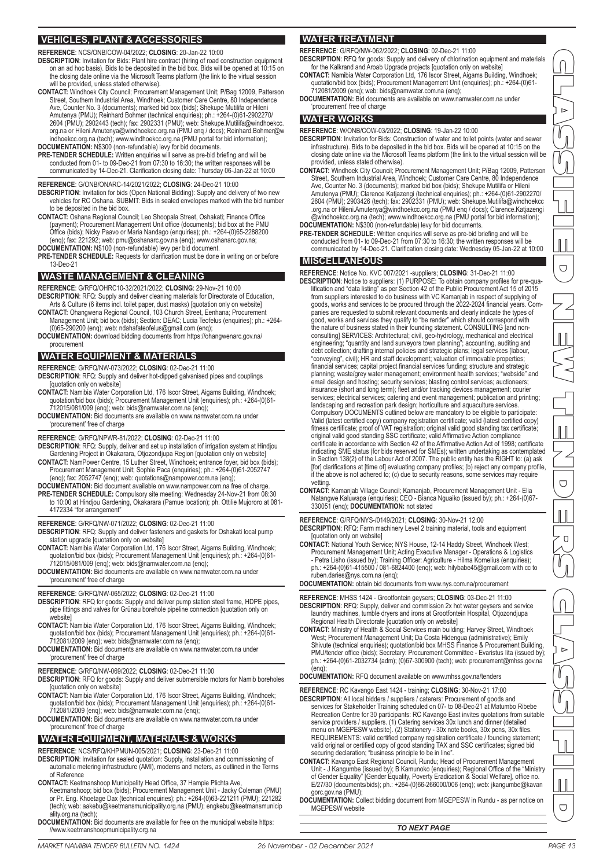#### **VEHICLES, PLANT & ACCESSORIES**

**REFERENCE**: NCS/ONB/COW-04/2022; **CLOSING**: 20-Jan-22 10:00

- **DESCRIPTION**: Invitation for Bids: Plant hire contract (hiring of road construction equipment on an ad hoc basis). Bids to be deposited in the bid box. Bids will be opened at 10:15 on the closing date online via the Microsoft Teams platform (the link to the virtual session will be provided, unless stated otherwise).
- **CONTACT:** Windhoek City Council; Procurement Management Unit; P/Bag 12009, Patterson Street, Southern Industrial Area, Windhoek; Customer Care Centre, 80 Independence Ave, Counter No. 3 (documents); marked bid box (bids); Shekupe Mutilifa or Hileni Amutenya (PMU); Reinhard Bohmer (technical enquiries); ph.: +264-(0)61-2902270/ 2604 (PMU); 2902443 (tech); fax: 2902331 (PMU); web: Shekupe.Mutilifa@windhoekcc.<br>org.na or Hileni.Amutenya@windhoekcc.org.na (PMU enq / docs); Reinhard.Bohmer@w<br>indhoekcc.org.na (tech); www.windhoekcc.org.na (PMU portal
- **DOCUMENTATION:** N\$300 (non-refundable) levy for bid documents. **PRE-TENDER SCHEDULE:** Written enquiries will serve as pre-bid briefing and will be conducted from 01- to 09-Dec-21 from 07:30 to 16:30; the written responses will be communicated by 14-Dec-21. Clarification closing date: Thursday 06-Jan-22 at 10:00
- **REFERENCE**: G/ONB/ONARC-14/2021/2022; **CLOSING**: 24-Dec-21 10:00
- **DESCRIPTION**: Invitation for bids (Open National Bidding): Supply and delivery of two new vehicles for RC Oshana. SUBMIT: Bids in sealed envelopes marked with the bid number to be deposited in the bid box.
- **CONTACT:** Oshana Regional Council; Leo Shoopala Street, Oshakati; Finance Office (payment); Procurement Management Unit office (documents); bid box at the PMU Office (bids); Nicky Paavo or Maria Nandago (enquiries); ph.: +264-(0)65-2288200 (enq); fax: 221292; web: pmu@oshanarc.gov.na (enq); www.oshanarc.gov.na;
- **DOCUMENTATION:** N\$100 (non-refundable) levy per bid document.
- **PRE-TENDER SCHEDULE:** Requests for clarification must be done in writing on or before 13-Dec-21

#### **WASTE MANAGEMENT & CLEANING**

**REFERENCE**: G/RFQ/OHRC10-32/2021/2022; **CLOSING**: 29-Nov-21 10:00

- **DESCRIPTION**: RFQ: Supply and deliver cleaning materials for Directorate of Education, Arts & Culture (6 items incl. toilet paper, dust masks) [quotation only on website]
- **CONTACT:** Ohangwena Regional Council, 103 Church Street, Eenhana; Procurement Management Unit; bid box (bids); Section: DEAC; Lucia Teofelus (enquiries); ph.: +264-
- (0)65-290200 (enq); web: ndahafateofelus@gmail.com (enq); **DOCUMENTATION:** download bidding documents from https://ohangwenarc.gov.na/ procurement

#### **WATER EQUIPMENT & MATERIALS**

**REFERENCE**: G/RFQ/NW-073/2022; **CLOSING**: 02-Dec-21 11:00

- **DESCRIPTION**: RFQ: Supply and deliver hot-dipped galvanised pipes and couplings [quotation only on website]
- **CONTACT:** Namibia Water Corporation Ltd, 176 Iscor Street, Aigams Building, Windhoek; quotation/bid box (bids); Procurement Management Unit (enquiries); ph.: +264-(0)61- 712015/081/009 (enq); web: bids@namwater.com.na (enq);
- **DOCUMENTATION:** Bid documents are available on www.namwater.com.na under 'procurement' free of charge

#### **REFERENCE**: G/RFQ/NPWR-81/2022; **CLOSING**: 02-Dec-21 11:00

**DESCRIPTION**: RFQ: Supply, deliver and set up installation of irrigation system at Hindjou Gardening Project in Okakarara, Otjozondjupa Region [quotation only on website]

- **CONTACT:** NamPower Centre, 15 Luther Street, Windhoek; entrance foyer, bid box (bids); Procurement Management Unit; Sophie Paca (enquiries); ph.: +264-(0)61-2052747 (enq); fax: 2052747 (enq); web: quotations@nampower.com.na (enq);
- **DOCUMENTATION:** Bid document available on www.nampower.com.na free of charge. **PRE-TENDER SCHEDULE:** Compulsory site meeting: Wednesday 24-Nov-21 from 08:30 to 10:00 at Hindjou Gardening, Okakarara (Pamue location); ph. Ottilie Mujororo at 081-
	- 4172334 "for arrangement"

#### **REFERENCE**: G/RFQ/NW-071/2022; **CLOSING**: 02-Dec-21 11:00

- **DESCRIPTION**: RFQ: Supply and deliver fasteners and gaskets for Oshakati local pump station upgrade [quotation only on website]
- **CONTACT:** Namibia Water Corporation Ltd, 176 Iscor Street, Aigams Building, Windhoek; quotation/bid box (bids); Procurement Management Unit (enquiries); ph.: +264-(0)61- 712015/081/009 (enq); web: bids@namwater.com.na (enq);
- **DOCUMENTATION:** Bid documents are available on www.namwater.com.na under 'procurement' free of charge

#### **REFERENCE**: G/RFQ/NW-065/2022; **CLOSING**: 02-Dec-21 11:00

- **DESCRIPTION**: RFQ for goods: Supply and deliver pump station steel frame, HDPE pipes, pipe fittings and valves for Grünau borehole pipeline connection [quotation only on website]
- **CONTACT:** Namibia Water Corporation Ltd, 176 Iscor Street, Aigams Building, Windhoek; quotation/bid box (bids); Procurement Management Unit (enquiries); ph.: +264-(0)61- 712081/2009 (enq); web: bids@namwater.com.na (enq);
- **DOCUMENTATION:** Bid documents are available on www.namwater.com.na under 'procurement' free of charge
- **REFERENCE**: G/RFQ/NW-069/2022; **CLOSING**: 02-Dec-21 11:00
- **DESCRIPTION**: RFQ for goods: Supply and deliver submersible motors for Namib boreholes [quotation only on website]
- CONTACT: Namibia Water Corporation Ltd, 176 Iscor Street, Aigams Building, Windhoek;<br>quotation/bid box (bids); Procurement Management Unit (enquiries); ph.: +264-(0)61-<br>712081/2009 (enq); web: bids@namwater.com.na (enq);
- **DOCUMENTATION:** Bid documents are available on www.namwater.com.na under 'procurement' free of charge

#### **WATER EQUIPMENT, MATERIALS & WORKS**

#### **REFERENCE**: NCS/RFQ/KHPMUN-005/2021; **CLOSING**: 23-Dec-21 11:00

- **DESCRIPTION**: Invitation for sealed quotation: Supply, installation and commissioning of automatic metering infrastructure (AMI), modems and meters, as outlined in the Terms of Reference
- 
- CONTACT: Keetmanshoop Municipality Head Office, 37 Hampie Plichta Ave,<br>Keetmanshoop; bid box (bids); Procurement Management Unit Jacky Coleman (PMU)<br>or Pr. Eng. Khoetage Dax (technical enquiries); ph.: +264-(0)63-221211 ality.org.na (tech);
- **DOCUMENTATION:** Bid documents are available for free on the municipal website https: //www.keetmanshoopmunicipality.org.na

#### **WATER TREATMENT**

- **REFERENCE**: G/RFQ/NW-062/2022; **CLOSING**: 02-Dec-21 11:00 **DESCRIPTION**: RFQ for goods: Supply and delivery of chlorination equipment and materials for the Kalkrand and Aroab Upgrade projects [quotation only on website]
- **CONTACT:** Namibia Water Corporation Ltd, 176 Iscor Street, Aigams Building, Windhoek; quotation/bid box (bids); Procurement Management Unit (enquiries); ph.: +264-(0)61- 712081/2009 (enq); web: bids@namwater.com.na (enq);
- **DOCUMENTATION:** Bid documents are available on www.namwater.com.na under 'procurement' free of charge

#### **WATER WORKS**

**REFERENCE**: W/ONB/COW-03/2022; **CLOSING**: 19-Jan-22 10:00

- **DESCRIPTION**: Invitation for Bids: Construction of water and toilet points (water and sewer infrastructure). Bids to be deposited in the bid box. Bids will be opened at 10:15 on the closing date online via the Microsoft Teams platform (the link to the virtual session will be provided, unless stated otherwise).
- **CONTACT:** Windhoek City Council; Procurement Management Unit; P/Bag 12009, Patterson Street, Southern Industrial Area, Windhoek; Customer Care Centre, 80 Independence Ave, Counter No. 3 (documents); marked bid box (bids); Shekupe Mutilifa or Hileni Amutenya (PMU); Clarence Katjazengi (technical enquiries); ph.: +264-(0)61-2902270/<br>2604 (PMU); 2903426 (tech); fax: 2902331 (PMU); web: Shekupe.Mutilifa@windhoekcc<br>.org.na or Hileni.Amutenya@windhoekcc.org.na (PMU enq / d
- **DOCUMENTATION:** N\$300 (non-refundable) levy for bid documents. **PRE-TENDER SCHEDULE:** Written enquiries will serve as pre-bid briefing and will be conducted from 01- to 09-Dec-21 from 07:30 to 16:30; the written responses will be communicated by 14-Dec-21. Clarification closing date: Wednesday 05-Jan-22 at 10:00

#### **MISCELLANEOUS**

- **REFERENCE**: Notice No. KVC 007/2021 -suppliers; **CLOSING**: 31-Dec-21 11:00 **DESCRIPTION**: Notice to suppliers: (1) PURPOSE: To obtain company profiles for pre-qualification and "data listing" as per Section 42 of the Public Procurement Act 15 of 2015 from suppliers interested to do business with VC Kamanjab in respect of supplying of goods, works and services to be procured through the 2022-2024 financial years. Companies are requested to submit relevant documents and clearly indicate the types of good, works and services they qualify to "be render" which should correspond with the nature of business stated in their founding statement. CONSULTING [and nonconsulting] SERVICES: Architectural; civil, geo-hydrology, mechanical and electrical engineering; "quantity and land surveyors town planning"; accounting, auditing and debt collection; drafting internal policies and strategic plans; legal services (labour, "conveying", civil); HR and staff development; valuation of immovable properties; financial services; capital project financial services funding; structure and strategic planning; waste/grey water management; environment health services; "webside" and email design and hosting; security services; blasting control services; auctioneers; insurance (short and long term); fleet and/or tracking devices management; courier<br>services; electrical services; catering and event management; publication and printing;<br>landscaping and recreation park design; horticultur Compulsory DOCUMENTS outlined below are mandatory to be eligible to participate: Valid (latest certified copy) company registration certificate; valid (latest certified copy) fitness certificate; proof of VAT registration; original valid good standing tax certificate; original valid good standing SSC certificate; valid Affirmative Action compliance certificate in accordance with Section 42 of the Affirmative Action Act of 1998; certificate indicating SME status (for bids reserved for SMEs); written undertaking as contemplated in Section 138(2) of the Labour Act of 2007. The public entity has the RIGHT to: (a) ask [for] clarifications at [time of] evaluating company profiles; (b) reject any company profile, if the above is not adhered to; (c) due to security reasons, some services may require vetting.
- **CONTACT:** Kamanjab Village Council; Kamanjab, Procurement Management Unit Elia Natangwe Kaluwapa (enquiries); CEO Bianca Nguaiko (issued by); ph.: +264-(0)67- 330051 (enq); **DOCUMENTATION:** not stated

**REFERENCE**: G/RFQ/NYS-/0149/2021; **CLOSING**: 30-Nov-21 12:00

- **DESCRIPTION**: RFQ: Farm machinery Level 2 training material, tools and equipment [quotation only on website]
- **CONTACT:** National Youth Service; NYS House, 12-14 Haddy Street, Windhoek West; Procurement Management Unit; Acting Executive Manager - Operations & Logistics<br>- Petra Lisho (issued by); Training Officer: Agriculture - Hilma Kornelius (enquiries);<br>ph.: +264-(0)61-415500 / 081-6824400 (enq); web: hilyba nys.com.na (enq);

**DOCUMENTATION:** obtain bid documents from www.nys.com.na/procurement

**REFERENCE**: MHSS 1424 - Grootfontein geysers; **CLOSING**: 03-Dec-21 11:00 **DESCRIPTION:** RFQ: Supply, deliver and commission 2x hot water geysers and service laundry machines, tumble dryers and irons at Grootfontein Hospital, Otjozondjupa Regional Health Directorate [quotation only on website]

- CONTACT: Ministry of Health & Social Services main building; Harvey Street, Windhoek<br>West; Procurement Management Unit; Da Costa Hidengua (administrative); Emily<br>Shivute (technical enquiries); quotation/bid box MHSS Financ PMU/tender office (bids); Secretary: Procurement Committee - Evaristus Iita (issued by); ph.: +264-(0)61-2032734 (adm); (0)67-300900 (tech); web: procurement@mhss.gov.na  $(\text{ena})$
- **DOCUMENTATION:** RFQ document available on www.mhss.gov.na/tenders
- **REFERENCE**: RC Kavango East 1424 training; **CLOSING**: 30-Nov-21 17:00 DESCRIPTION: All local bidders / suppliers / caterers: Procurement of goods and<br>services for Stakeholder Training scheduled on 07- to 08-Dec-21 at Matumbo Ribebe<br>Recreation Centre for 30 participants: RC Kavango East invit
- service providers / suppliers. (1) Catering services 30x lunch and dinner (detailed<br>menu on MGEPESW website). (2) Stationery 30x note books, 30x pens, 30x files.<br>REQUIREMENTS: valid certified company registration certifi valid original or certified copy of good standing TAX and SSC certificates; signed bid securing declaration; "business principle to be in line".
- **CONTACT:** Kavango East Regional Council, Rundu; Head of Procurement Management Unit - J Kangumbe (issued by); B Kamunoko (enquiries); Regional Office of the "Ministry<br>of Gender Equality" [Gender Equality, Poverty Eradication & Social Welfare], office no.<br>E/27/30 (documents/bids); ph.: +264-(0)66-266 gorc.gov.na (PMU);
- **DOCUMENTATION:** Collect bidding document from MGEPESW in Rundu as per notice on MGEPESW website

#### *TO NEXT PAGE*

# CLASSIFIED NEW TENDERS CLASSIFIED  $\bigcup$  $\bigcirc$  $\overline{O}$  $\overline{\cup}$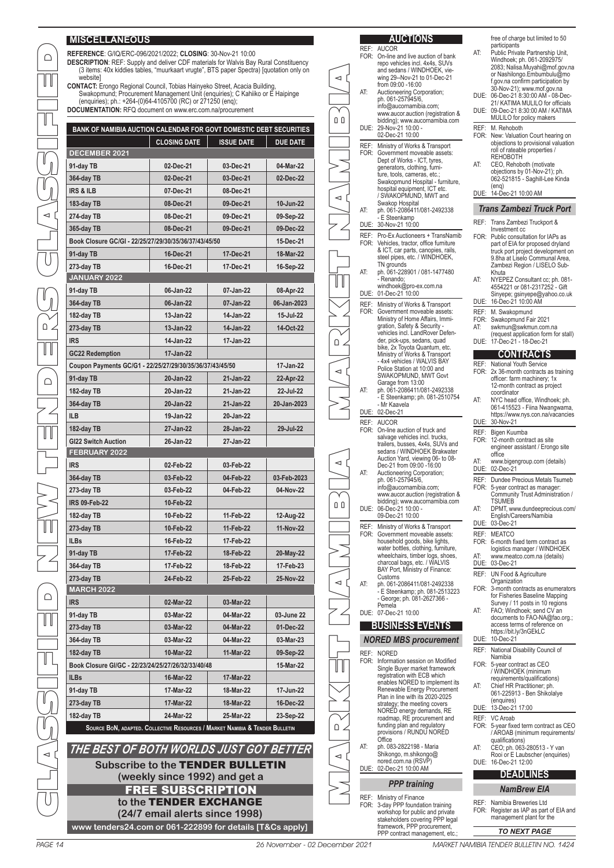#### **MISCELLANEOUS**

 $\bigcap$ 

 $\mathbb T$ 

| BANK OF NAMIBIA AUCTION CALENDAR FOR GOVT DOMESTIC DEBT SECURITIES                                                                              |                        |                   |                 |  |  |  |  |
|-------------------------------------------------------------------------------------------------------------------------------------------------|------------------------|-------------------|-----------------|--|--|--|--|
|                                                                                                                                                 | <b>CLOSING DATE</b>    | <b>ISSUE DATE</b> | <b>DUE DATE</b> |  |  |  |  |
| <b>DECEMBER 2021</b>                                                                                                                            |                        |                   |                 |  |  |  |  |
| 91-day TB                                                                                                                                       | 02-Dec-21              | 03-Dec-21         | 04-Mar-22       |  |  |  |  |
| 364-day TB                                                                                                                                      | 02-Dec-21              | 03-Dec-21         | 02-Dec-22       |  |  |  |  |
| <b>IRS &amp; ILB</b>                                                                                                                            | 07-Dec-21              | 08-Dec-21         |                 |  |  |  |  |
| 183-day TB                                                                                                                                      | 08-Dec-21              | 09-Dec-21         | 10-Jun-22       |  |  |  |  |
| 274-day TB                                                                                                                                      | 08-Dec-21              | 09-Dec-21         | 09-Sep-22       |  |  |  |  |
| 365-day TB                                                                                                                                      | 08-Dec-21              | 09-Dec-21         | 09-Dec-22       |  |  |  |  |
| Book Closure GC/GI - 22/25/27/29/30/35/36/37/43/45/50                                                                                           |                        |                   | 15-Dec-21       |  |  |  |  |
| 91-day TB                                                                                                                                       | 16-Dec-21              | 17-Dec-21         | 18-Mar-22       |  |  |  |  |
| 273-day TB                                                                                                                                      | 16-Dec-21              | 17-Dec-21         | 16-Sep-22       |  |  |  |  |
| JANUARY 2022                                                                                                                                    |                        |                   |                 |  |  |  |  |
| 91-day TB                                                                                                                                       | 06-Jan-22              | 07-Jan-22         | 08-Apr-22       |  |  |  |  |
| 364-day TB                                                                                                                                      | 06-Jan-22              | 07-Jan-22         | 06-Jan-2023     |  |  |  |  |
| 182-day TB                                                                                                                                      | 13-Jan-22              | 14-Jan-22         | 15-Jul-22       |  |  |  |  |
| 273-day TB                                                                                                                                      | $13 - Jan-22$          | 14-Jan-22         | 14-Oct-22       |  |  |  |  |
| <b>IRS</b>                                                                                                                                      | 14-Jan-22              | 17-Jan-22         |                 |  |  |  |  |
| <b>GC22 Redemption</b>                                                                                                                          | 17-Jan-22              |                   |                 |  |  |  |  |
| Coupon Payments GC/G1 - 22/25/27/29/30/35/36/37/43/45/50                                                                                        |                        |                   | 17-Jan-22       |  |  |  |  |
| 91-day TB                                                                                                                                       | 20-Jan-22              | 21-Jan-22         | 22-Apr-22       |  |  |  |  |
| 182-day TB                                                                                                                                      | 20-Jan-22              | 21-Jan-22         | 22-Jul-22       |  |  |  |  |
| 364-day TB                                                                                                                                      | 20-Jan-22              | 21-Jan-22         | 20-Jan-2023     |  |  |  |  |
| <b>ILB</b>                                                                                                                                      | 19-Jan-22              | 20-Jan-22         |                 |  |  |  |  |
| 182-day TB                                                                                                                                      | 27-Jan-22              | 28-Jan-22         | 29-Jul-22       |  |  |  |  |
| <b>GI22 Switch Auction</b>                                                                                                                      | 26-Jan-22              | 27-Jan-22         |                 |  |  |  |  |
| FEBRUARY 2022                                                                                                                                   |                        |                   |                 |  |  |  |  |
| <b>IRS</b>                                                                                                                                      | 02-Feb-22              | 03-Feb-22         |                 |  |  |  |  |
| 364-day TB                                                                                                                                      | 03-Feb-22              | 04-Feb-22         | 03-Feb-2023     |  |  |  |  |
| 273-day TB                                                                                                                                      | 03-Feb-22              | 04-Feb-22         | 04-Nov-22       |  |  |  |  |
| <b>IRS 09-Feb-22</b>                                                                                                                            | 10-Feb-22              |                   |                 |  |  |  |  |
| 182-day TB                                                                                                                                      | 10-Feb-22              | 11-Feb-22         | 12-Aug-22       |  |  |  |  |
| 273-day TB                                                                                                                                      | 10-Feb-22              | 11-Feb-22         | 11-Nov-22       |  |  |  |  |
| <b>ILBs</b>                                                                                                                                     | 16-Feb-22              | 17-Feb-22         |                 |  |  |  |  |
| 91-day TB                                                                                                                                       | 17-Feb-22              | 18-Feb-22         | 20-May-22       |  |  |  |  |
| 364-day TB                                                                                                                                      | 17-Feb-22              | 18-Feb-22         | 17-Feb-23       |  |  |  |  |
| 273-day TB                                                                                                                                      | 24-Feb-22<br>25-Feb-22 |                   |                 |  |  |  |  |
| <b>MARCH 2022</b>                                                                                                                               |                        |                   | 25-Nov-22       |  |  |  |  |
| <b>IRS</b>                                                                                                                                      | 02-Mar-22              | 03-Mar-22         |                 |  |  |  |  |
| 91-day TB                                                                                                                                       | 03-Mar-22              | 04-Mar-22         | 03-June 22      |  |  |  |  |
| 273-day TB                                                                                                                                      | 03-Mar-22              | 04-Mar-22         | 01-Dec-22       |  |  |  |  |
| 364-day TB                                                                                                                                      | 03-Mar-22              | 04-Mar-22         | 03-Mar-23       |  |  |  |  |
| 182-day TB                                                                                                                                      | 10-Mar-22              | 11-Mar-22         | 09-Sep-22       |  |  |  |  |
| Book Closure GI/GC - 22/23/24/25/27/26/32/33/40/48                                                                                              |                        |                   | 15-Mar-22       |  |  |  |  |
| <b>ILBs</b>                                                                                                                                     | 16-Mar-22              | 17-Mar-22         |                 |  |  |  |  |
| 91-day TB                                                                                                                                       | 17-Mar-22              | 18-Mar-22         | 17-Jun-22       |  |  |  |  |
|                                                                                                                                                 | 17-Mar-22              | 18-Mar-22         | 16-Dec-22       |  |  |  |  |
| 273-day TB                                                                                                                                      |                        |                   |                 |  |  |  |  |
| 24-Mar-22<br>23-Sep-22<br>182-day TB<br>25-Mar-22<br>SOURCE BON, ADAPTED. COLLECTIVE RESOURCES / MARKET NAMIBIA & TENDER BULLETIN               |                        |                   |                 |  |  |  |  |
| THE BEST OF BOTH WORLDS JUST GOT BETTER<br><b>Subscribe to the TENDER BULLETIN</b><br>(weekly since 1992) and get a<br><b>FREE SUBSCRIPTION</b> |                        |                   |                 |  |  |  |  |
|                                                                                                                                                 | to the TENDER EXCHANGE |                   |                 |  |  |  |  |
| (24/7 email alerts since 1998)                                                                                                                  |                        |                   |                 |  |  |  |  |

| <b>MISCELLANEOUS</b>                                                                                                                                                                                                                                  |                                         |                        |                        |                      |     | <b>AUCTIONS</b>                                                                                                      |             | free of charge but limited to 50                                                                                                               |
|-------------------------------------------------------------------------------------------------------------------------------------------------------------------------------------------------------------------------------------------------------|-----------------------------------------|------------------------|------------------------|----------------------|-----|----------------------------------------------------------------------------------------------------------------------|-------------|------------------------------------------------------------------------------------------------------------------------------------------------|
| REFERENCE: G/IQ/ERC-096/2021/2022; CLOSING: 30-Nov-21 10:00<br><b>DESCRIPTION:</b> REF: Supply and deliver CDF materials for Walvis Bay Rural Constituency<br>(3 items: 40x kiddies tables, "muurkaart vrugte", BTS paper Spectra) [quotation only on |                                         |                        |                        |                      |     | REF: AUCOR<br>FOR: On-line and live auction of bank<br>repo vehicles incl. 4x4s, SUVs<br>and sedans / WINDHOEK, vie- | AT:         | participants<br>Public Private Partnership Unit,<br>Windhoek; ph. 061-2092975/<br>2083; Nalisa.Muyahi@mof.gov.na<br>or Nashilongo.Embumbulu@mo |
| website]<br>CONTACT: Erongo Regional Council, Tobias Hainyeko Street, Acacia Building,<br>Swakopmund; Procurement Management Unit (enquiries); C Kahiiko or E Haipinge                                                                                |                                         |                        |                        | $\blacktriangleleft$ | AT: | wing 29--Nov-21 to 01-Dec-21<br>from 09:00 -16:00<br>Auctioneering Corporation;                                      |             | f.gov.na confirm participation by<br>30-Nov-21); www.mof.gov.na<br>DUE: 06-Dec-21 8:30:00 AM - 08-Dec-                                         |
| (enquiries); ph.: +264-(0)64-4105700 (RC) or 271250 (enq);<br>DOCUMENTATION: RFQ document on www.erc.com.na/procurement                                                                                                                               |                                         |                        |                        |                      |     | ph. 061-257945/6,<br>info@aucornamibia.com;<br>www.aucor.auction (registration &                                     |             | 21/ KATIMA MULILO for officials<br>DUE: 09-Dec-21 8:30:00 AM / KATIMA                                                                          |
| BANK OF NAMIBIA AUCTION CALENDAR FOR GOVT DOMESTIC DEBT SECURITIES                                                                                                                                                                                    |                                         |                        |                        | 0 O                  |     | bidding); www.aucornamibia.com<br>DUE: 29-Nov-21 10:00 -                                                             |             | MULILO for policy makers<br>REF: M. Rehoboth                                                                                                   |
|                                                                                                                                                                                                                                                       | <b>CLOSING DATE</b>                     | <b>ISSUE DATE</b>      | <b>DUE DATE</b>        |                      |     | 02-Dec-21 10:00<br>REF: Ministry of Works & Transport                                                                |             | FOR: New: Valuation Court hearing on<br>objections to provisional valuation                                                                    |
| DECEMBER 2021                                                                                                                                                                                                                                         |                                         |                        |                        |                      |     | FOR: Government moveable assets:                                                                                     |             | roll of rateable properties /<br><b>REHOBOTH</b>                                                                                               |
| 91-day TB                                                                                                                                                                                                                                             | 02-Dec-21                               | 03-Dec-21              | 04-Mar-22              |                      |     | Dept of Works - ICT, tyres,<br>generators, clothing, furni-                                                          | AT:         | CEO, Rehoboth (motivate<br>objections by 01-Nov-21); ph.                                                                                       |
| 364-day TB                                                                                                                                                                                                                                            | 02-Dec-21                               | 03-Dec-21              | 02-Dec-22              |                      |     | ture, tools, cameras, etc.;<br>Swakopmund Hospital - furniture,                                                      |             | 062-521815 - Saghill-Lee Kinda                                                                                                                 |
| <b>IRS &amp; ILB</b>                                                                                                                                                                                                                                  | 07-Dec-21                               | 08-Dec-21              |                        | $\prec$              |     | hospital equipment, ICT etc.<br>/ SWAKOPMUND, MWT and                                                                |             | (eng)<br>DUE: 14-Dec-21 10:00 AM                                                                                                               |
| 183-day TB                                                                                                                                                                                                                                            | 08-Dec-21                               | 09-Dec-21              | 10-Jun-22              |                      | AT: | Swakop Hospital<br>ph. 061-2086411/081-2492338                                                                       |             | <b>Trans Zambezi Truck Port</b>                                                                                                                |
| 274-day TB                                                                                                                                                                                                                                            | 08-Dec-21                               | 09-Dec-21              | 09-Sep-22              |                      |     | - E Steenkamp<br>DUE: 30-Nov-21 10:00                                                                                |             | REF: Trans Zambezi Truckport &                                                                                                                 |
| 365-day TB                                                                                                                                                                                                                                            | 08-Dec-21                               | 09-Dec-21              | 09-Dec-22              |                      |     | REF: Pro-Ex Auctioneers + TransNamib                                                                                 |             | Investment cc<br>FOR: Public consultation for IAPs as                                                                                          |
| Book Closure GC/GI - 22/25/27/29/30/35/36/37/43/45/50                                                                                                                                                                                                 |                                         |                        | 15-Dec-21              |                      |     | FOR: Vehicles, tractor, office furniture<br>& ICT, car parts, canopies, rails,                                       |             | part of EIA for proposed dryland<br>truck port project development on                                                                          |
| 91-day TB                                                                                                                                                                                                                                             | 16-Dec-21                               | 17-Dec-21              | 18-Mar-22              |                      |     | steel pipes, etc. / WINDHOEK,<br>TN grounds                                                                          |             | 9.8ha at Liselo Communal Area,                                                                                                                 |
| 273-day TB<br>JANUARY 2022                                                                                                                                                                                                                            | 16-Dec-21                               | 17-Dec-21              | 16-Sep-22              |                      | AT: | ph. 061-228901 / 081-1477480                                                                                         |             | Zambezi Region / LISELO Sub-<br>Khuta                                                                                                          |
| 91-day TB                                                                                                                                                                                                                                             | 06-Jan-22                               | 07-Jan-22              | 08-Apr-22              | UU                   |     | - Renando;<br>windhoek@pro-ex.com.na                                                                                 | AT:         | NYEPEZ Consultant cc; ph. 081-<br>4554221 or 081-2317252 - Gift                                                                                |
| 364-day TB                                                                                                                                                                                                                                            | 06-Jan-22                               | 07-Jan-22              | 06-Jan-2023            |                      |     | DUE: 01-Dec-21 10:00                                                                                                 |             | Sinyepe; gsinyepe@yahoo.co.uk<br>DUE: 16-Dec-21 10:00 AM                                                                                       |
| 182-day TB                                                                                                                                                                                                                                            | 13-Jan-22                               | 14-Jan-22              | 15-Jul-22              |                      |     | REF: Ministry of Works & Transport<br>FOR: Government moveable assets:                                               |             | REF: M. Swakopmund                                                                                                                             |
| 273-day TB                                                                                                                                                                                                                                            | 13-Jan-22                               | 14-Jan-22              | 14-Oct-22              |                      |     | Ministry of Home Affairs, Immi-<br>gration, Safety & Security -                                                      | AT:         | FOR: Swakopmund Fair 2021<br>swkmun@swkmun.com.na                                                                                              |
| irs                                                                                                                                                                                                                                                   | 14-Jan-22                               | 17-Jan-22              |                        |                      |     | vehicles incl. LandRover Defen-<br>der, pick-ups, sedans, quad                                                       |             | (request application form for stall)<br>DUE: 17-Dec-21 - 18-Dec-21                                                                             |
| <b>GC22 Redemption</b>                                                                                                                                                                                                                                | 17-Jan-22                               |                        |                        | ∆ ∆                  |     | bike, 2x Toyota Quantum, etc.<br>Ministry of Works & Transport                                                       |             | <b>CONTRACTS</b>                                                                                                                               |
| Coupon Payments GC/G1 - 22/25/27/29/30/35/36/37/43/45/50                                                                                                                                                                                              |                                         |                        | 17-Jan-22              |                      |     | - 4x4 vehicles / WALVIS BAY<br>Police Station at 10:00 and                                                           |             | REF: National Youth Service                                                                                                                    |
| 91-day TB                                                                                                                                                                                                                                             | 20-Jan-22                               | 21-Jan-22              | 22-Apr-22              | $\prec$              |     | SWAKOPMUND, MWT Govt                                                                                                 |             | FOR: 2x 36-month contracts as training<br>officer: farm machinery; 1x                                                                          |
| 182-day TB                                                                                                                                                                                                                                            | 20-Jan-22                               | 21-Jan-22              | 22-Jul-22              |                      | AT: | Garage from 13:00<br>ph. 061-2086411/081-2492338                                                                     |             | 12-month contract as project<br>coordinator                                                                                                    |
| 364-day TB                                                                                                                                                                                                                                            | 20-Jan-22                               | 21-Jan-22              | 20-Jan-2023            |                      |     | - E Steenkamp; ph. 081-2510754<br>- Mr Kaavela                                                                       | AT:         | NYC head office, Windhoek; ph.<br>061-415523 - Fiina Nwangwama,                                                                                |
| ILB                                                                                                                                                                                                                                                   | 19-Jan-22                               | 20-Jan-22              |                        |                      |     | DUE: 02-Dec-21                                                                                                       |             | https://www.nys.con.na/vacancies                                                                                                               |
| 182-day TB                                                                                                                                                                                                                                            | 27-Jan-22                               | 28-Jan-22              | 29-Jul-22              |                      |     | REF: AUCOR<br>FOR: On-line auction of truck and                                                                      |             | DUE: 30-Nov-21<br>REF: Bigen Kuumba                                                                                                            |
| <b>GI22 Switch Auction</b>                                                                                                                                                                                                                            | 26-Jan-22                               | 27-Jan-22              |                        |                      |     | salvage vehicles incl. trucks,<br>trailers, busses, 4x4s, SUVs and                                                   |             | FOR: 12-month contract as site<br>engineer assistant / Erongo site                                                                             |
| FEBRUARY 2022                                                                                                                                                                                                                                         |                                         |                        |                        |                      |     | sedans / WINDHOEK Brakwater<br>Auction Yard, viewing 06- to 08-                                                      |             | office                                                                                                                                         |
| <b>IRS</b>                                                                                                                                                                                                                                            | 02-Feb-22                               | 03-Feb-22              |                        | $\blacktriangleleft$ | AT: | Dec-21 from 09:00 -16:00<br>Auctioneering Corporation;                                                               | AT:         | www.bigengroup.com (details)<br>DUE: 02-Dec-21                                                                                                 |
| 364-day TB                                                                                                                                                                                                                                            | 03-Feb-22                               | 04-Feb-22              | 03-Feb-2023            |                      |     | ph. 061-257945/6,                                                                                                    |             | REF: Dundee Precious Metals Tsumeb                                                                                                             |
| 273-day TB                                                                                                                                                                                                                                            | 03-Feb-22                               | 04-Feb-22              | 04-Nov-22              |                      |     | info@aucornamibia.com;<br>www.aucor.auction (registration &                                                          |             | FOR: 5-year contract as manager:<br>Community Trust Administration /                                                                           |
| <b>IRS 09-Feb-22</b>                                                                                                                                                                                                                                  | 10-Feb-22                               |                        |                        | 0 O                  |     | bidding); www.aucornamibia.com<br>DUE: 06-Dec-21 10:00 -                                                             | AT:         | <b>TSUMEB</b><br>DPMT, www.dundeeprecious.com/                                                                                                 |
| 182-day TB                                                                                                                                                                                                                                            | 10-Feb-22                               | 11-Feb-22              | 12-Aug-22              |                      |     | 09-Dec-21 10:00<br>REF: Ministry of Works & Transport                                                                |             | English/Careers/Namibia<br>DUE: 03-Dec-21                                                                                                      |
| 273-day TB                                                                                                                                                                                                                                            | 10-Feb-22                               | 11-Feb-22              | 11-Nov-22              |                      |     | FOR: Government moveable assets:                                                                                     |             | REF: MEATCO                                                                                                                                    |
| <b>ILBs</b>                                                                                                                                                                                                                                           | 16-Feb-22                               | 17-Feb-22              |                        |                      |     | household goods, bike lights,<br>water bottles, clothing, furniture,                                                 |             | FOR: 6-month fixed term contract as<br>logistics manager / WINDHOEK                                                                            |
| 91-day TB<br>364-day TB                                                                                                                                                                                                                               | 17-Feb-22<br>17-Feb-22                  | 18-Feb-22<br>18-Feb-22 | 20-May-22<br>17-Feb-23 |                      |     | wheelchairs, timber logs, shoes,<br>charcoal bags, etc. / WALVIS                                                     | AT:<br>DUE: | www.meatco.com.na (details)<br>03-Dec-21                                                                                                       |
| 273-day TB                                                                                                                                                                                                                                            | 24-Feb-22                               | 25-Feb-22              | 25-Nov-22              |                      |     | BAY Port, Ministry of Finance:<br>Customs                                                                            |             | REF: UN Food & Agriculture                                                                                                                     |
| <b>MARCH 2022</b>                                                                                                                                                                                                                                     |                                         |                        |                        | $\lhd$               | AT: | ph. 061-2086411/081-2492338<br>- E Steenkamp; ph. 081-2513223                                                        |             | Organization<br>FOR: 3-month contracts as enumerators                                                                                          |
| <b>IRS</b>                                                                                                                                                                                                                                            | 02-Mar-22                               | 03-Mar-22              |                        |                      |     | - George; ph. 081-2627366 -<br>Pemela                                                                                |             | for Fisheries Baseline Mapping<br>Survey / 11 posts in 10 regions                                                                              |
| 91-day TB                                                                                                                                                                                                                                             | 03-Mar-22                               | 04-Mar-22              | 03-June 22             |                      |     | DUE: 07-Dec-21 10:00                                                                                                 | AT:         | FAO; Windhoek; send CV an<br>documents to FAO-NA@fao.org.;                                                                                     |
| 273-day TB                                                                                                                                                                                                                                            | 03-Mar-22                               | 04-Mar-22              | 01-Dec-22              |                      |     | <b>BUSINESS EVENTS</b>                                                                                               |             | access terms of reference on<br>https://bit.ly/3nGEkLC                                                                                         |
| 364-day TB                                                                                                                                                                                                                                            | 03-Mar-22                               | 04-Mar-22              | 03-Mar-23              |                      |     | <b>NORED MBS procurement</b>                                                                                         |             | DUE: 10-Dec-21                                                                                                                                 |
| 182-day TB                                                                                                                                                                                                                                            | 10-Mar-22                               | 11-Mar-22              | 09-Sep-22              |                      |     | REF: NORED                                                                                                           | REF:        | National Disability Council of<br>Namibia                                                                                                      |
| Book Closure GI/GC - 22/23/24/25/27/26/32/33/40/48                                                                                                                                                                                                    |                                         |                        | 15-Mar-22              | UU                   |     | FOR: Information session on Modified<br>Single Buyer market framework                                                |             | FOR: 5-year contract as CEO<br>/ WINDHOEK (minimum                                                                                             |
| ILBs                                                                                                                                                                                                                                                  | 16-Mar-22                               | 17-Mar-22              |                        |                      |     | registration with ECB which<br>enables NORED to implement its                                                        |             | requirements/qualifications)                                                                                                                   |
| 91-day TB                                                                                                                                                                                                                                             | 17-Mar-22                               | 18-Mar-22              | 17-Jun-22              |                      |     | Renewable Energy Procurement<br>Plan in line with its 2020-2025                                                      | AT:         | Chief HR Practitioner; ph.<br>061-225913 - Ben Shikolalye                                                                                      |
| 273-day TB                                                                                                                                                                                                                                            | 17-Mar-22                               | 18-Mar-22              | 16-Dec-22              |                      |     | strategy; the meeting covers<br>NORED energy demands, RE                                                             |             | (enquires)<br>DUE: 13-Dec-21 17:00                                                                                                             |
| 182-day TB                                                                                                                                                                                                                                            | 24-Mar-22                               | 25-Mar-22              | 23-Sep-22              |                      |     | roadmap, RE procurement and                                                                                          |             | REF: VC Aroab                                                                                                                                  |
| SOURCE BON, ADAPTED. COLLECTIVE RESOURCES / MARKET NAMIBIA & TENDER BULLETIN                                                                                                                                                                          |                                         |                        |                        | Ω.                   |     | funding plan and regulatory<br>provisions / RUNDU NORED                                                              |             | FOR: 5-year fixed term contract as CEO<br>/ AROAB (minimum requirements/                                                                       |
| THE BEST OF BOTH WORLDS JUST GOT BETTER                                                                                                                                                                                                               |                                         |                        |                        |                      | AT: | Office<br>ph. 083-2822198 - Maria                                                                                    | AT:         | qualifications)<br>CEO; ph. 063-280513 - Y van                                                                                                 |
|                                                                                                                                                                                                                                                       | <b>Subscribe to the TENDER BULLETIN</b> |                        |                        | $\lhd$               |     | Shikongo, m.shikongo@<br>nored.com.na (RSVP)<br>DUE: 02-Dec-21 10:00 AM                                              |             | Rooi or E Laubscher (enquiries)<br>DUE: 16-Dec-21 12:00                                                                                        |
|                                                                                                                                                                                                                                                       | (weekly since 1992) and get a           |                        |                        |                      |     |                                                                                                                      |             | <b>DEADLINES</b>                                                                                                                               |
|                                                                                                                                                                                                                                                       | <b>FREE SUBSCRIPTION</b>                |                        |                        |                      |     | <b>PPP</b> training                                                                                                  |             | <b>NamBrew EIA</b>                                                                                                                             |
|                                                                                                                                                                                                                                                       | to the TENDER EXCHANGE                  |                        |                        |                      |     | REF: Ministry of Finance<br>FOR: 3-day PPP foundation training                                                       |             | REF: Namibia Breweries Ltd                                                                                                                     |
|                                                                                                                                                                                                                                                       | (24/7 email alerts since 1998)          |                        |                        |                      |     | workshop for public and private<br>stakeholders covering PPP legal                                                   |             | FOR: Register as IAP as part of EIA and<br>management plant for the                                                                            |
| www tenders24.com or 061-222899 for details [T&Cs apply]                                                                                                                                                                                              |                                         |                        |                        |                      |     | framework, PPP procurement,<br>PPP contract management etc.                                                          |             | <b>TO NEXT PAGE</b>                                                                                                                            |

...<br>for officials numum<br>M / KATIMA  $\frac{m}{n}$ hearing on nal valuation rties / AT: CEO, Rehoboth (motivate objections by 01-Nov-21); ph. 062-521815 - Saghill-Lee Kinda *Transfort* port & r IAPs as part of EIA for proposed dryland truck port project development on 9.8ha at Liselo Communal Area, SELO Sub-AT: NYEPEZ Consultant cc; ph. 081- 4554221 or 081-2317252 - Gift /ahoo.co.uk ,∠.<br>om.na form for stall) **CONTRACTS** . .<br>ts as training o as a<br>ry; 1x project ndhoek: ph. 061-415523 - Fiina Nwangwama, https://www.nys.con.na/vacancies site Erongo site (details) tals Tsumeb anager: nage..<br>ninistration / recious.com/ hibia ontract as logistics manager / WINDHOEK (details) FOR: 3-month contracts as enumerators for Fisheries Baseline Mapping Survey / 11 posts in 10 regions AT: FAO; Windhoek; send CV an A@fao.org.; ence on https://bit.ly/3nGEkLC **Runcil of** =O<br>ium ations) AT: Chief HR Practitioner; ph. 061-225913 - Ben Shikolalye tract as CEO equirements/  $3 - Y$  van , . . . . . . .<br>(enquiries) **DEADLINES**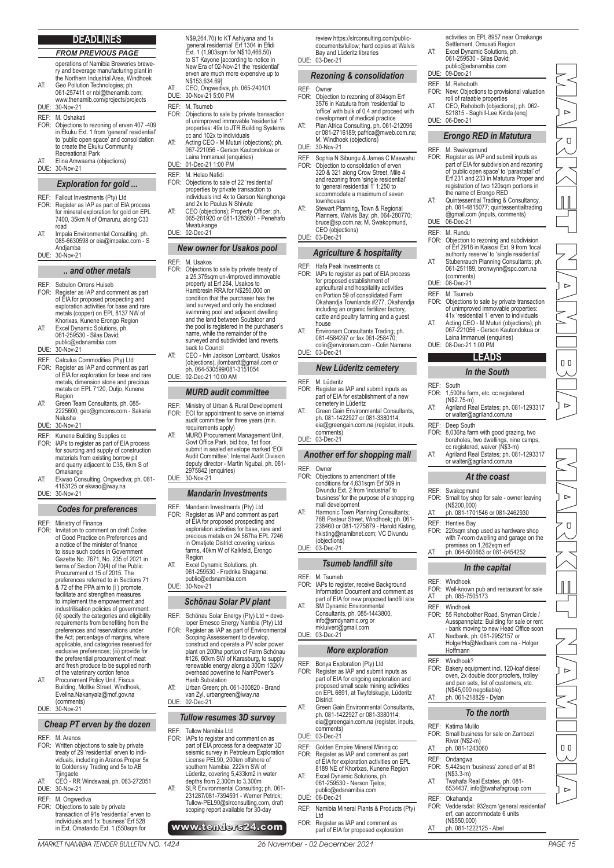#### **DEADLINES**

*FROM PREVIOUS PAGE* operations of Namibia Breweries brewery and beverage manufacturing plant in the Northern Industrial Area, Windhoek

- AT: Geo Pollution Technologies; ph. 061-257411 or nbl@thenamib.com; www.thenamib.com/projects/projects
- DUE: 30-Nov-21
- 
- REF: M. Oshakati<br>FOR: Objections to FOR: Objections to rezoning of erven 407 -409 in Ekuku Ext. 1 from 'general' residential' to 'public open space' and consolidation to create the Ekuku Community Recreational Park
- AT: Elina Amwaama (objections)<br>DUF: 30-Nov-21 30-Nov-21

#### *Exploration for gold ...*

- 
- REF: Fallout Investments (Pty) Ltd<br>FOR: Register as IAP as part of Ela FOR: Register as IAP as part of EIA process for mineral exploration for gold on EPL 7400, 35km N of Omaruru, along C33 road
- AT: Impala Environmental Consulting; ph. 085-6630598 or eia@impalac.com S Andjamba DUE: 30-Nov-21

#### *.. and other metals*

- REF: Sebulon Orrens Huiseb<br>FOR: Register as IAP and cor FOR: Register as IAP and comment as part of EIA for proposed prospecting and exploration activities for base and rare metals (copper) on EPL 8137 NW of Khorixas, Kunene Erongo Region AT: Excel Dynamic Solutions, ph. 061-259530 - Silas David;
- public@edsnamibia.com DUE: 30-Nov-21

- REF: Calculus Commodities (Pty) Ltd<br>FOR: Register as IAP and comment as FOR: Register as IAP and comment as part of EIA for exploration for base and rare metals, dimension stone and precious metals on EPL 7120, Outjo, Kunene Region
- AT: Green Team Consultants, ph. 085- 2225600; geo@gmcons.com - Sakaria Nalusha DUE: 30-Nov-21
- **REF:** Kunene Building Supplies cc<br>FOR: IAPs to register as part of FIA FOR: IAPs to register as part of EIA process for sourcing and supply of construction materials from existing borrow pit and quarry adjacent to C35, 6km S of
- Omakange AT: Ekwao Consulting, Ongwediva; ph. 081- 4183125 or ekwao@iway.na
- DUE: 30-Nov-21

#### *Codes for preferences*

- 
- REF: Ministry of Finance FOR: Invitation to comment on draft Codes of Good Practice on Preferences and a notice of the minister of finance to issue such codes in Government<br>Gazette No. 7671, No. 235 of 2021 in<br>terms of Section 70(4) of the Public Procurement ct 15 of 2015. The preferences referred to in Sections 71 & 72 of the PPA aim to (i ) promote, facilitate and strengthen measures to implement the empowerment and industrilisation policies of government; (ii) specify the categories and eligibility requirements from benefiting from the preferences and reservations under the Act; percentage of margins, where applicable, and categories reserved for exclusive preferences; (iii) provide for the preferential procurement of meat and fresh produce to be supplied north
- of the vaterinary cordon fence AT: Procurement Policy Unit, Fiscus Building, Moltke Street, Windhoek, Evelina.Nakanyala@mof.gov.na (comments) DUE: 30-Nov-21

## *Cheap PT erven by the dozen*

- 
- REF: M. Aranos<br>FOR: Written ob FOR: Written objections to sale by private treaty of 29 'residential' erven to individuals, including in Aranos Proper 5x to Goldensky Trading and 5x to AB Tjingaete AT: CEO - RR Windswaai, ph. 063-272051
- DUE: 30-Nov-21
- REF: M. Ongwediva<br>FOR: Objections to s FOR: Objections to sale by private transaction of 91s 'residential' erven to individuals and 1x 'business' Erf 528 in Ext. Omatando Ext. 1 (550sqm for

N\$9,264.70) to KT Ashiyana and 1x 'general residential' Erf 1304 in Efidi Ext. 1 (1,903sqm for N\$10,466.50) to ST Kayone [according to notice in New Era of 02-Nov-21 the 'residential' erven are much more expensive up to N\$153,634.69]

- AT: CEO, Ongwediva, ph. 065-240101 DUE: 30-Nov-21 5:00 PM
- REF: M. Tsumeb<br>FOR: Objections
- FOR: Objections to sale by private transaction of unimproved immovable 'residential 1' properties: 49x to JTR Building Systems cc and 102x to individuals
- AT: Acting CEO M Muturi (objections); ph. 067-221056 - Gerson Kautondokua or Laina Immanuel (enquiries)
- DUE: 01-Dec-21 1:00 PM
- REF: M. Helao Nafidi<br>FOR: Objections to sa Objections to sale of 22 'residential properties by private transaction to individuals incl 4x to Gerson Nanghonga and 2x to Paulus N Shivute
- AT: CEO (objections); Property Officer; ph. 065-261920 or 081-1283601 Penehafo **Mwatukange** DUE: 02-Dec-21

## *New owner for Usakos pool*

- REF: M. Usakos<br>FOR: Objections FOR: Objections to sale by private treaty of a 25,375sqm un-/improved immovable property at Erf 264, Usakos to Hambresin RRA for N\$250,000 on condition that the purchaser has the land surveyed and only the enclosed swimming pool and adjacent dwelling and the land between Soutstoor and the pool is registered in the purchaser's name, while the remainder of the surveyed and subdivided land reverts back to Council
- AT: CEO Ivin Jackson Lombardt, Usakos (objections), jlombardt@gmail.com or ph. 064-530599/081-3151054 DUE: 02-Dec-21 10:00 AM

#### *MURD audit committee*

- REF: Ministry of Urban & Rural Development<br>FOR: EOI for appointment to serve on interna EOI for appointment to serve on internal audit committee for three years (min.
- requirements apply) AT: MURD Procurement Management Unit, Govt Office Park, bid box, 1st floor, submit in sealed envelope marked 'EOI Audit Committee'; Internal Audit Division deputy director - Martin Ngubai, ph. 061- 2975842 (enquiries) DUE: 30-Nov-21

#### *Mandarin Investments*

- REF: Mandarin Investments (Pty) Ltd<br>FOR: Register as IAP and comment a FOR: Register as IAP and comment as part of EIA for proposed prospecting and exploration activities for base, rare and precious metals on 24,567ha EPL 7246 in Omatjete District covering various farms, 40km W of Kalkfeld, Erongo Region
- AT: Excel Dynamic Solutions, ph. 061-259530 Fredrika Shagama; public@edsnamibia.com DUE: 30-Nov-21

## *Schönau Solar PV plant*

- REF: Schönau Solar Energy (Pty) Ltd + deve-loper Emesco Energy Nambia (Pty) Ltd FOR: Register as IAP as part of Environmental Scoping Assessement to develop, construct and operate a PV solar power plant on 200ha portion of Farm Schönau
- #126, 60km SW of Karasburg, to supply renewable energy along a 300m 132kV overhead powerline to NamPower's Harib Substation AT: Urban Green; ph. 061-300820 - Brand
- van Zyl, urbangreen@iway.na DUE: 02-Dec-21

#### *Tullow resumes 3D survey*

- REF: Tullow Namibia Ltd<br>FOR: IAPs to register and
- IAPs to register and comment on as part of EIA process for a deepwater 3D seismic survey in Petroleum Exploration License PEL90, 200km offshore of southern Namibia, 222km SW of Lüderitz, covering 5,433km2 in water depths from 2,300m to 3,300m AT: SLR Environmental Consulting; ph. 061- 231287/081-7394591 - Werner Petrick; Tullow-PEL90@slrconsulting.com, draft scoping report available for 30-day

## www.tenders24.com

review https://slrconsulting.com/publicdocuments/tullow; hard copies at Walvis Bay and Lüderitz libraries DUE: 03-Dec-21

#### *Rezoning & consolidation*

## REF: Owner<br>FOR: Object

- FOR: Objection to rezoning of 804sqm Erf 3576 in Katutura from 'residential' to 'office' with bulk of 0.4 and proceed with development of medical practice AT: Plan Africa Consulting, ph. 061-212096 or 081-2716189; pafrica@mweb.com.na;
- M. Windhoek (objections) DUE: 30-Nov-21
- REF: Sophia N Sibungu & James C Maswahu<br>
FOR: Objection to consolidation of erven<br>
320 & 321 along Crow Street, Mile 4<br>
and rezoning from 'single residential'<br>
to 'general residential 1' 1:250 to accommodate a maximum of seven townhouses
- AT: Stewart Planning, Town & Regional Planners, Walvis Bay; ph. 064-280770; bruce@sp.com.na; M. Swakopmund, CEO (objections) DUE: 03-Dec-21

#### *Agriculture & hospitality*

- REF: Hafa Peak Investments contained RCR: IAPs to register as part of FOR: IAPs to register as part of EIA process for proposed establishment of agricultural and hospitality activities on Portion 59 of consolidated Farm Okahandja Townlands #277, Okahandja including an organic fertilizer factory, cattle and poultry farming and a guest house AT: Environam Consultants Trading; ph.
	- 081-4584297 or fax 061-258470; colin@environam.com - Colin Namene
- DUE: 03-Dec-21

## *New Lüderitz cemetery*

- REF: M. Lüderitz<br>FOR: Register as Register as IAP and submit inputs as part of EIA for establishment of a new cemetery in Lüderitz AT: Green Gain Environmental Consultants
- ph. 081-1422927 or 081-3380114; eia@greengain.com.na (register, inputs comments) DUE: 03-Dec-21

## *Another erf for shopping mall*

- REF: Owner<br>FOR: Object Objections to amendment of title conditions for 4,631sqm Erf 509 in Divundu Ext. 2 from 'industrial' to
- 'business' for the purpose of a shopping mall development AT: Harmonic Town Planning Consultants; 76B Pasteur Street, Windhoek; ph. 061- 238460 or 081-1275879 - Harold Kisting, hkisting@namibnet.com; VC Divundu
- (objections) DUE: 03-Dec-21

## *Tsumeb landfill site*

- REF: M. Tsumeb<br>FOR: IAPs to regi IAPs to register, receive Background
- Information Document and comment as part of EIA for new proposed landfill site AT: SM Dynamic Environmental Consultants, ph. 085-1443800,
- info@smdynamic.org or mkluivert@gmail.com DUE: 03-Dec-21

#### *More exploration*

- REF: Bonya Exploration (Pty) Ltd<br>FOR: Register as IAP and submit FOR: Register as IAP and submit inputs as part of EIA for ongoing exploration and proposed small scale mining activities on EPL 6691, at Twyfelskupje, Lüderitz **District**
- AT: Green Gain Environmental Consultants, ph. 081-1422927 or 081-3380114; eia@greengain.com.na (register, inputs, comments) DUE: 03-Dec-21

- REF: Golden Empire Mineral Mining cc<br>FOR: Register as IAR and comment as FOR: Register as IAP and comment as part of EIA for exploration activities on EPL 8189 NE of Khorixas, Kunene Region AT: Excel Dynamic Solutions, ph. 061-259530 - Nerson Tjelos;
- public@edsnamibia.com DUE: 06-Dec-21
- REF: Namibia Mineral Plants & Products (Pty) Ltd FOR: Register as IAP and comment as
	- part of EIA for proposed exploration AT: ph. 081-1222125 - Abel

#### activities on EPL 8957 near Omakange Settlement, Omusati Region

- AT: Excel Dynamic Solutions, ph. 061-259530 Silas David; public@edsnamibia.com DUE: 09-Dec-21
- 
- REF: M. Rehoboth<br>FOR: New: Objecti FOR: New: Objections to provisional valuation roll of rateable properties
- AT: CEO, Rehoboth (objections); ph. 062- 521815 Saghill-Lee Kinda (enq)
- DUE: 06-Dec-21

## *Erongo RED in Matutura*

- REF: M. Swakopmund FOR: Register as IAP and submit inputs as part of EIA for subdivision and rezoning of 'public open space' to 'parastatal' of Erf 231 and 233 in Matutura Proper and registration of two 120sqm portions in
- the name of Erongo RED AT: Quintessential Trading & Consultancy, ph. 081-4815077; quintessentialtrading @gmail.com (inputs, comments) DUE 06-Dec-21

## REF: M. Rundu<br>FOR: Objection

DUE: 08-Dec-21

REF: South<br>FOR: 1.500

(N\$2.75-m)

REF: Deep South<br>FOR: 8.036ha farr

REF: Swakopmund<br>FOR: Small toy shop

REF: Henties Bay<br>FOR: 220som sho

REF: Windhoek<br>FOR: Well-know

REF: Windhoek<br>FOR: 55 Rehobe

**Hoffmann** REF: Windhoek?<br>FOR: Bakery equi

(N\$45,000 negotiable) AT: ph. 061-218829 - Dylan

REF: Katima Mulilo<br>FOR: Small busine

AT: ph. 081-1243060 REF: Ondangwa<br>FOR: 5.442sqm

(N\$3.3-m) AT: Twahafa Real Estates, ph. 081- 6534437, info@twahafagroup.com

(N\$550,000)

REF: Okahandja<br>FOR: Veddersda

- FOR: Objection to rezoning and subdivision of Erf 2918 in Kaisosi Ext. 9 from 'local authority reserve' to 'single residential'
- AT: Stubenrauch Planning Consultants; ph. 061-251189, bronwynn@spc.com.na (comments)

REF: M. Tsumeb FOR: Objections to sale by private transaction of unimproved immovable properties: 41x 'residential 1' erven to individuals AT: Acting CEO - M Muturi (objections); ph. 067-221056 - Gerson Kautondokua or

> **LEADS** *In the South*

1,500ha farm, etc. cc registered

AT: Agriland Real Estates; ph. 081-1293317 or walter@agriland.com.na

FOR: 8,036ha farm with good grazing, two boreholes, two dwellings, nine camps, cc registered, waiver (N\$3-m) AT: Agriland Real Estates; ph. 081-1293317 or walter@agriland.com.na *At the coast*

FOR: Small toy shop for sale - owner leaving (N\$200,000) AT: ph. 081-1701546 or 081-2462930

AT: ph. 064-500663 or 081-8454252 *In the capital*

FOR: Well-known pub and restaurant for sale<br>AT: ph. 085-7505173 ph. 085-7505173

FOR: 55 Rehobother Road, Snyman Circle / Ausspannplatz: Building for sale or rent - bank moving to new Head Office soon AT: Nedbank, ph. 061-2952157 or HolgerHo@Nedbank.com.na - Holger

> Bakery equipment incl. 120-loaf diesel oven, 2x double door proofers, trolley and pan sets, list of customers, etc.

> > *To the north*

FOR: 5,442sqm 'business' zoned erf at B1

FOR: Veddersdal: 932sqm 'general residential' erf, can accommodate 6 units

FOR: Small business for sale on Zambezi River (N\$2-m)

220sqm shop used as hardware shop with 7-room dwelling and garage on the premises on 1,262sqm erf

Laina Immanuel (enquiries) DUE: 08-Dec-21 1:00 PM

MARKET NAMI PIKANG NAMI INDERKET NAMI PIKANG NAMI PIKANG NA

 $\triangleright$ 

 $\overline{O}$ 

 $\begin{array}{c} \end{array}$ 

 $\triangleright$ 

 $\Box$ 

 $0<sup>0</sup>$ 

 $\overline{a}$ 

 $\Box$ 

 $\begin{array}{c} \hline \end{array}$ 

 $\triangleright$